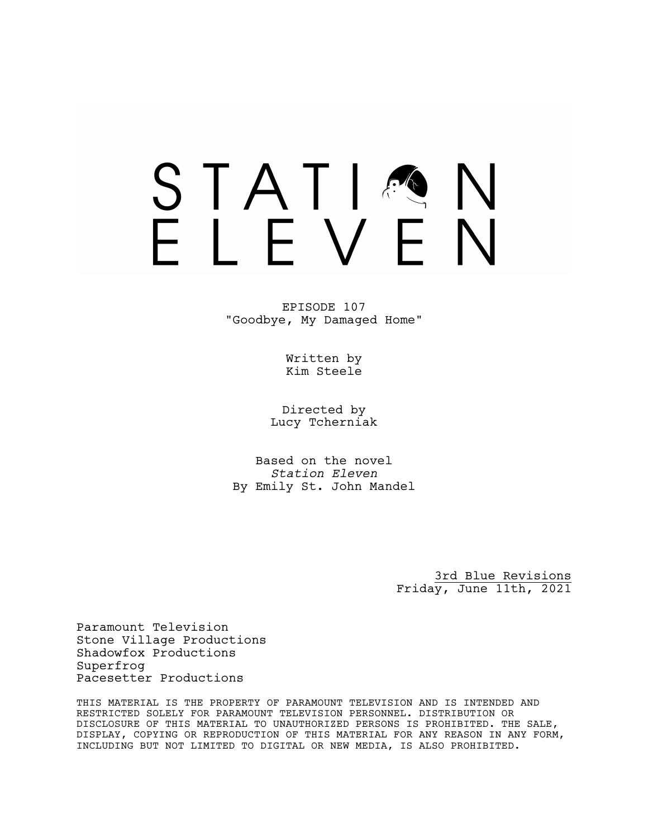### STATIA FIFVFN

EPISODE 107 "Goodbye, My Damaged Home"

> Written by Kim Steele

Directed by Lucy Tcherniak

Based on the novel *Station Eleven* By Emily St. John Mandel

> 3rd Blue Revisions Friday, June 11th, 2021

Paramount Television Stone Village Productions Shadowfox Productions Superfrog Pacesetter Productions

THIS MATERIAL IS THE PROPERTY OF PARAMOUNT TELEVISION AND IS INTENDED AND RESTRICTED SOLELY FOR PARAMOUNT TELEVISION PERSONNEL. DISTRIBUTION OR DISCLOSURE OF THIS MATERIAL TO UNAUTHORIZED PERSONS IS PROHIBITED. THE SALE, DISPLAY, COPYING OR REPRODUCTION OF THIS MATERIAL FOR ANY REASON IN ANY FORM, INCLUDING BUT NOT LIMITED TO DIGITAL OR NEW MEDIA, IS ALSO PROHIBITED.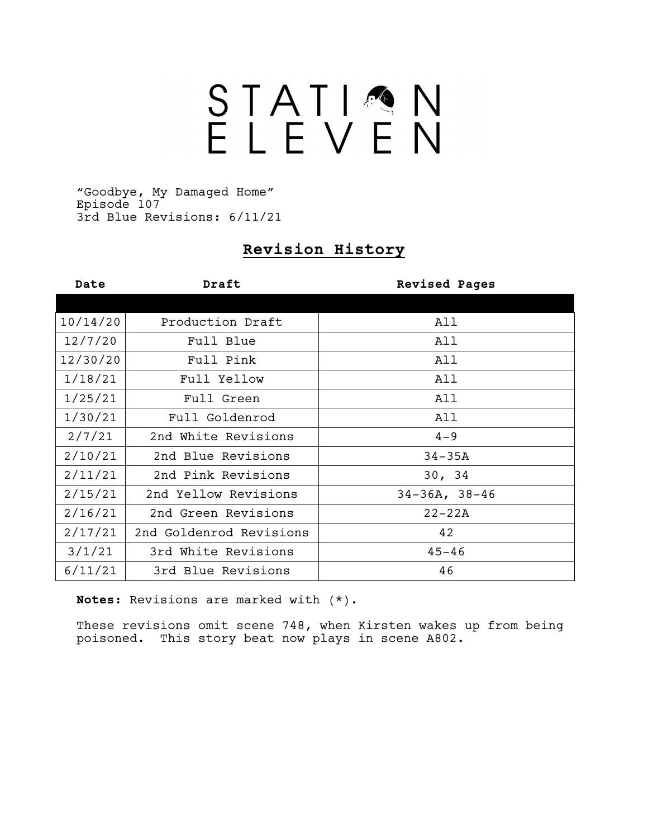# STATIQN

"Goodbye, My Damaged Home" Episode 107 3rd Blue Revisions: 6/11/21

### **Revision History**

| Date     | Draft                   | <b>Revised Pages</b> |  |
|----------|-------------------------|----------------------|--|
|          |                         |                      |  |
| 10/14/20 | Production Draft        | All                  |  |
| 12/7/20  | Full Blue               | All                  |  |
| 12/30/20 | Full Pink               | All                  |  |
| 1/18/21  | Full Yellow             | All                  |  |
| 1/25/21  | Full Green              | All                  |  |
| 1/30/21  | Full Goldenrod          | All                  |  |
| 2/7/21   | 2nd White Revisions     | $4 - 9$              |  |
| 2/10/21  | 2nd Blue Revisions      | $34 - 35A$           |  |
| 2/11/21  | 2nd Pink Revisions      | 30, 34               |  |
| 2/15/21  | 2nd Yellow Revisions    | $34-36A, 38-46$      |  |
| 2/16/21  | 2nd Green Revisions     | $22 - 22A$           |  |
| 2/17/21  | 2nd Goldenrod Revisions | 42                   |  |
| 3/1/21   | 3rd White Revisions     | $45 - 46$            |  |
| 6/11/21  | 3rd Blue Revisions      | 46                   |  |

**Notes:** Revisions are marked with (\*).

These revisions omit scene 748, when Kirsten wakes up from being poisoned. This story beat now plays in scene A802.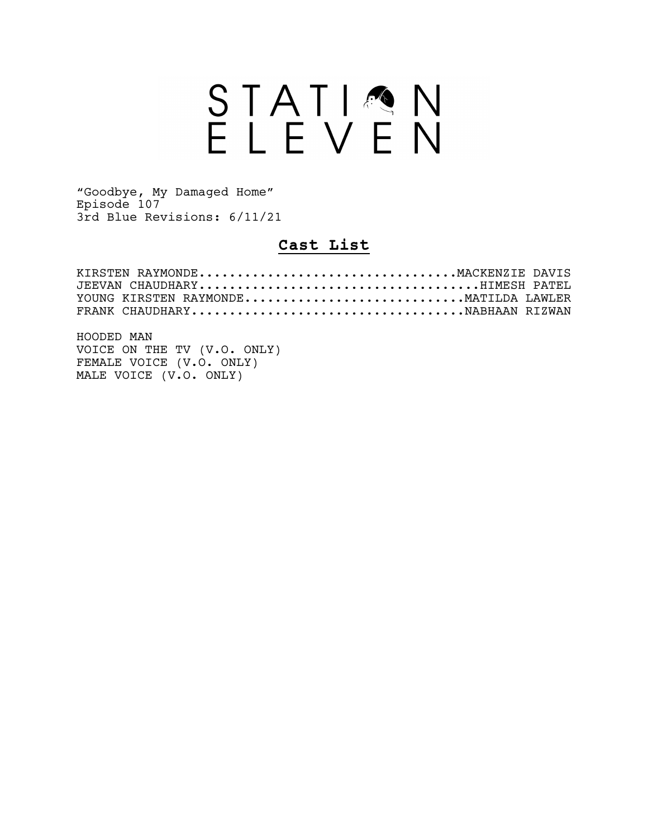## STATION<br>ELEVEN

"Goodbye, My Damaged Home" Episode 107 3rd Blue Revisions: 6/11/21

### **Cast List**

| JEEVAN CHAUDHARYHIMESH PATEL         |  |
|--------------------------------------|--|
| YOUNG KIRSTEN RAYMONDEMATILDA LAWLER |  |
|                                      |  |

HOODED MAN VOICE ON THE TV (V.O. ONLY) FEMALE VOICE (V.O. ONLY) MALE VOICE (V.O. ONLY)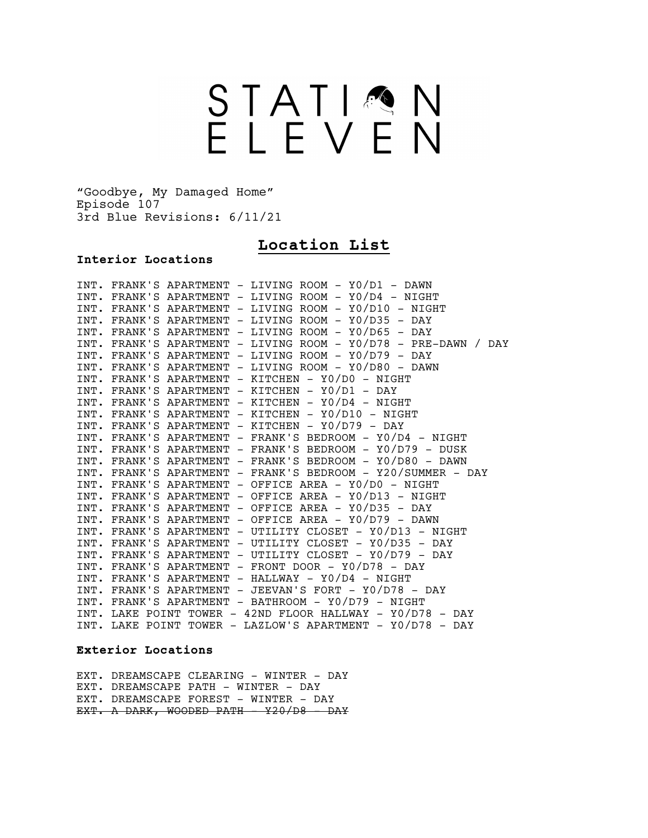## STATIQN<br>ELEVEN

"Goodbye, My Damaged Home" Episode 107 3rd Blue Revisions: 6/11/21

### **Location List**

### **Interior Locations**

|  | INT. FRANK'S APARTMENT - LIVING ROOM - YO/D1 - DAWN            |
|--|----------------------------------------------------------------|
|  | INT. FRANK'S APARTMENT - LIVING ROOM - Y0/D4 - NIGHT           |
|  | INT. FRANK'S APARTMENT - LIVING ROOM - Y0/D10 - NIGHT          |
|  | INT. FRANK'S APARTMENT - LIVING ROOM - Y0/D35 - DAY            |
|  | INT. FRANK'S APARTMENT - LIVING ROOM - Y0/D65 - DAY            |
|  | INT. FRANK'S APARTMENT - LIVING ROOM - Y0/D78 - PRE-DAWN / DAY |
|  | INT. FRANK'S APARTMENT - LIVING ROOM - Y0/D79 - DAY            |
|  | INT. FRANK'S APARTMENT - LIVING ROOM - Y0/D80 - DAWN           |
|  | INT. FRANK'S APARTMENT - KITCHEN - YO/DO - NIGHT               |
|  | INT. FRANK'S APARTMENT - KITCHEN - YO/D1 - DAY                 |
|  | INT. FRANK'S APARTMENT - KITCHEN - YO/D4 - NIGHT               |
|  | INT. FRANK'S APARTMENT - KITCHEN - Y0/D10 - NIGHT              |
|  | INT. FRANK'S APARTMENT - KITCHEN - Y0/D79 - DAY                |
|  | INT. FRANK'S APARTMENT - FRANK'S BEDROOM - Y0/D4 - NIGHT       |
|  | INT. FRANK'S APARTMENT - FRANK'S BEDROOM - Y0/D79 - DUSK       |
|  | INT. FRANK'S APARTMENT - FRANK'S BEDROOM - Y0/D80 - DAWN       |
|  | INT. FRANK'S APARTMENT - FRANK'S BEDROOM - Y20/SUMMER - DAY    |
|  | INT. FRANK'S APARTMENT - OFFICE AREA - Y0/D0 - NIGHT           |
|  | INT. FRANK'S APARTMENT - OFFICE AREA - Y0/D13 - NIGHT          |
|  | INT. FRANK'S APARTMENT - OFFICE AREA - Y0/D35 - DAY            |
|  | INT. FRANK'S APARTMENT - OFFICE AREA - Y0/D79 - DAWN           |
|  | INT. FRANK'S APARTMENT - UTILITY CLOSET - Y0/D13 - NIGHT       |
|  | INT. FRANK'S APARTMENT - UTILITY CLOSET - Y0/D35 - DAY         |
|  | INT. FRANK'S APARTMENT - UTILITY CLOSET - Y0/D79 - DAY         |
|  | INT. FRANK'S APARTMENT - FRONT DOOR - Y0/D78 - DAY             |
|  | $INT. FRANK'S APARTMENT - HALLWAY - Y0/D4 - NIGHT$             |
|  | INT. FRANK'S APARTMENT - JEEVAN'S FORT - Y0/D78 - DAY          |
|  | INT. FRANK'S APARTMENT - BATHROOM - Y0/D79 - NIGHT             |
|  | INT. LAKE POINT TOWER - 42ND FLOOR HALLWAY - Y0/D78 - DAY      |
|  | INT. LAKE POINT TOWER - LAZLOW'S APARTMENT - Y0/D78 - DAY      |

### **Exterior Locations**

EXT. DREAMSCAPE CLEARING - WINTER - DAY EXT. DREAMSCAPE PATH - WINTER - DAY EXT. DREAMSCAPE FOREST - WINTER - DAY EXT. A DARK, WOODED PATH - Y20/D8 - DAY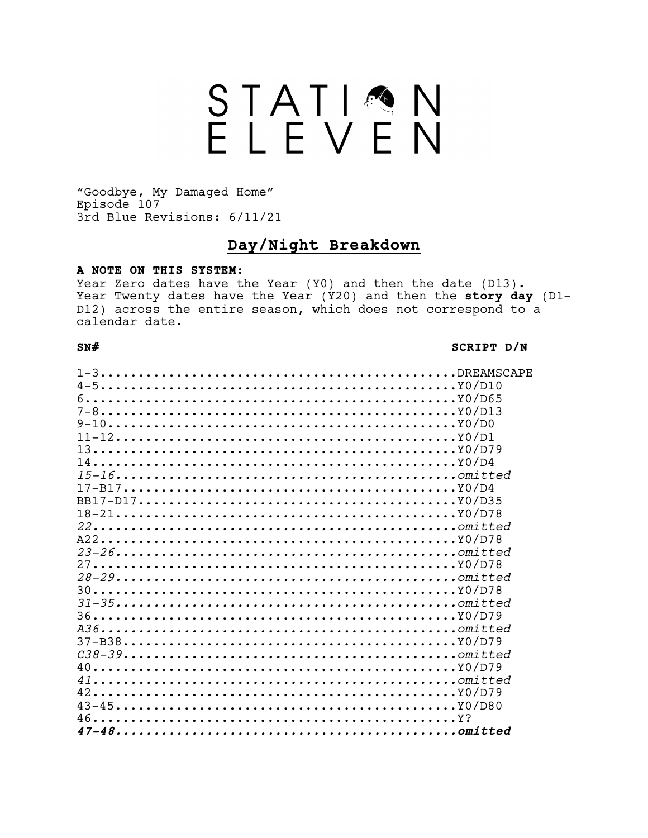### STATIQN<br>ELEVEN

"Goodbye, My Damaged Home" Episode 107 3rd Blue Revisions: 6/11/21

### Day/Night Breakdown

### A NOTE ON THIS SYSTEM:

Year Zero dates have the Year (Y0) and then the date (D13). Year Twenty dates have the Year (Y20) and then the story day (D1-D12) across the entire season, which does not correspond to a calendar date.

### $SN#$

### SCRIPT D/N

| $11-12$    |  |
|------------|--|
| $13$       |  |
|            |  |
| $15 - 16$  |  |
| $17 - B17$ |  |
| $BB17-D17$ |  |
| $18-21$    |  |
| $22$       |  |
|            |  |
|            |  |
|            |  |
|            |  |
|            |  |
| $31 - 35$  |  |
|            |  |
|            |  |
| $37 - B38$ |  |
|            |  |
|            |  |
| $41$       |  |
|            |  |
|            |  |
|            |  |
|            |  |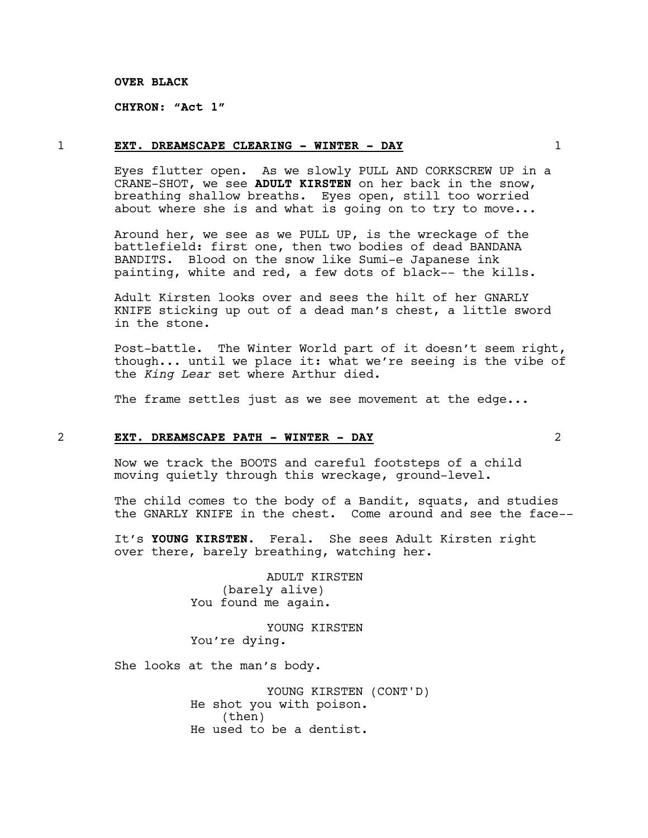### **OVER BLACK**

**CHYRON: "Act 1"**

### 1 **EXT. DREAMSCAPE CLEARING - WINTER - DAY** 1

Eyes flutter open. As we slowly PULL AND CORKSCREW UP in a CRANE-SHOT, we see **ADULT KIRSTEN** on her back in the snow, breathing shallow breaths. Eyes open, still too worried about where she is and what is going on to try to move...

Around her, we see as we PULL UP, is the wreckage of the battlefield: first one, then two bodies of dead BANDANA BANDITS. Blood on the snow like Sumi-e Japanese ink painting, white and red, a few dots of black-- the kills.

Adult Kirsten looks over and sees the hilt of her GNARLY KNIFE sticking up out of a dead man's chest, a little sword in the stone.

Post-battle. The Winter World part of it doesn't seem right, though... until we place it: what we're seeing is the vibe of the *King Lear* set where Arthur died.

The frame settles just as we see movement at the edge...

### 2 **EXT. DREAMSCAPE PATH - WINTER - DAY** 2

Now we track the BOOTS and careful footsteps of a child moving quietly through this wreckage, ground-level.

The child comes to the body of a Bandit, squats, and studies the GNARLY KNIFE in the chest. Come around and see the face--

It's **YOUNG KIRSTEN**. Feral. She sees Adult Kirsten right over there, barely breathing, watching her.

> ADULT KIRSTEN (barely alive) You found me again.

> YOUNG KIRSTEN You're dying.

She looks at the man's body.

YOUNG KIRSTEN (CONT'D) He shot you with poison. (then) He used to be a dentist.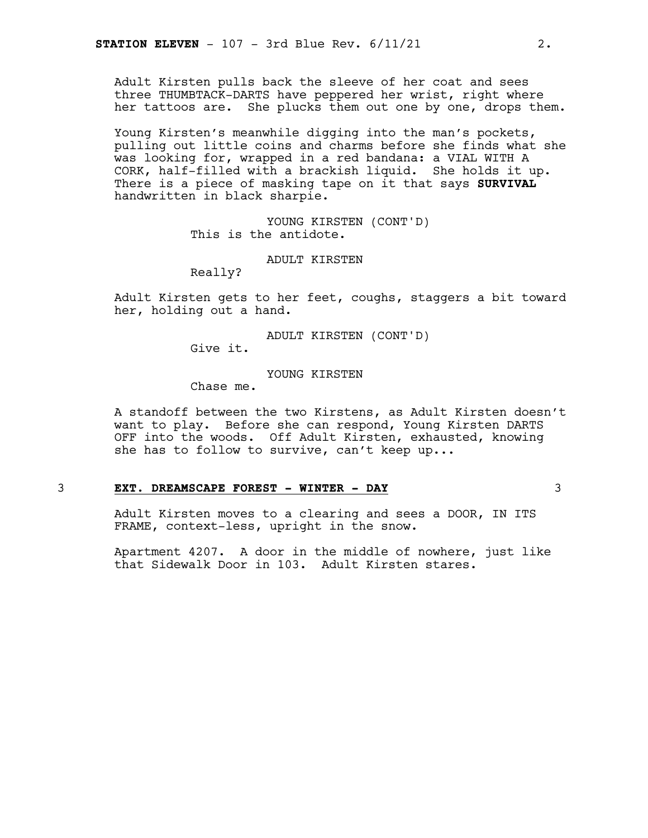Adult Kirsten pulls back the sleeve of her coat and sees three THUMBTACK-DARTS have peppered her wrist, right where her tattoos are. She plucks them out one by one, drops them.

Young Kirsten's meanwhile digging into the man's pockets, pulling out little coins and charms before she finds what she was looking for, wrapped in a red bandana: a VIAL WITH A CORK, half-filled with a brackish liquid. She holds it up. There is a piece of masking tape on it that says **SURVIVAL** handwritten in black sharpie.

> YOUNG KIRSTEN (CONT'D) This is the antidote.

> > ADULT KIRSTEN

Really?

Adult Kirsten gets to her feet, coughs, staggers a bit toward her, holding out a hand.

ADULT KIRSTEN (CONT'D)

Give it.

YOUNG KIRSTEN

Chase me.

A standoff between the two Kirstens, as Adult Kirsten doesn't want to play. Before she can respond, Young Kirsten DARTS OFF into the woods. Off Adult Kirsten, exhausted, knowing she has to follow to survive, can't keep up...

### 3 **EXT. DREAMSCAPE FOREST - WINTER - DAY** 3

Adult Kirsten moves to a clearing and sees a DOOR, IN ITS FRAME, context-less, upright in the snow.

Apartment 4207. A door in the middle of nowhere, just like that Sidewalk Door in 103. Adult Kirsten stares.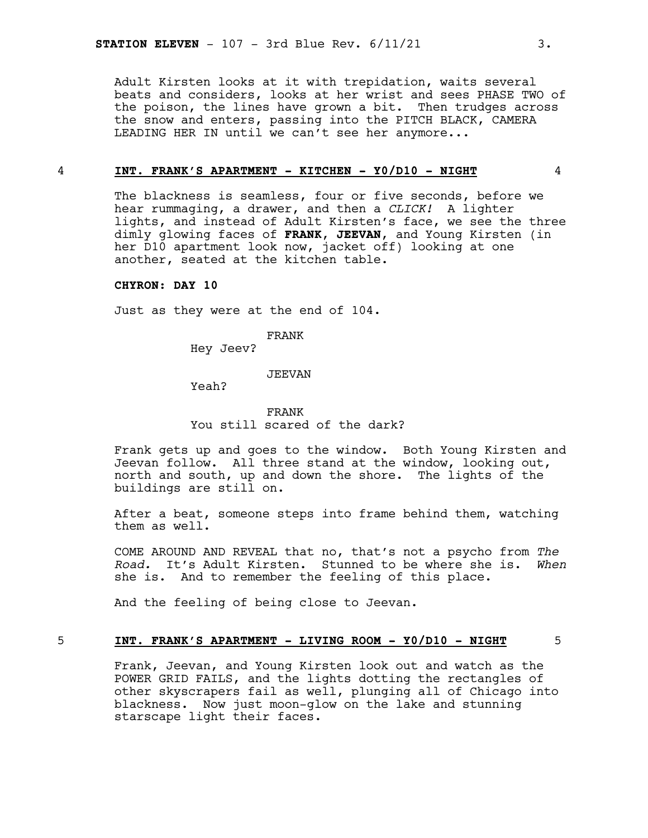Adult Kirsten looks at it with trepidation, waits several beats and considers, looks at her wrist and sees PHASE TWO of the poison, the lines have grown a bit. Then trudges across the snow and enters, passing into the PITCH BLACK, CAMERA LEADING HER IN until we can't see her anymore...

### 4 **INT. FRANK'S APARTMENT - KITCHEN - Y0/D10 - NIGHT** 4

The blackness is seamless, four or five seconds, before we hear rummaging, a drawer, and then a *CLICK!* A lighter lights, and instead of Adult Kirsten's face, we see the three dimly glowing faces of **FRANK**, **JEEVAN**, and Young Kirsten (in her D10 apartment look now, jacket off) looking at one another, seated at the kitchen table.

### **CHYRON: DAY 10**

Just as they were at the end of 104.

FRANK

Hey Jeev?

### JEEVAN

Yeah?

FRANK You still scared of the dark?

Frank gets up and goes to the window. Both Young Kirsten and Jeevan follow. All three stand at the window, looking out, north and south, up and down the shore. The lights of the buildings are still on.

After a beat, someone steps into frame behind them, watching them as well.

COME AROUND AND REVEAL that no, that's not a psycho from *The Road.* It's Adult Kirsten. Stunned to be where she is. *When* she is. And to remember the feeling of this place.

And the feeling of being close to Jeevan.

### 5 **INT. FRANK'S APARTMENT - LIVING ROOM - Y0/D10 - NIGHT** 5

Frank, Jeevan, and Young Kirsten look out and watch as the POWER GRID FAILS, and the lights dotting the rectangles of other skyscrapers fail as well, plunging all of Chicago into blackness. Now just moon-glow on the lake and stunning starscape light their faces.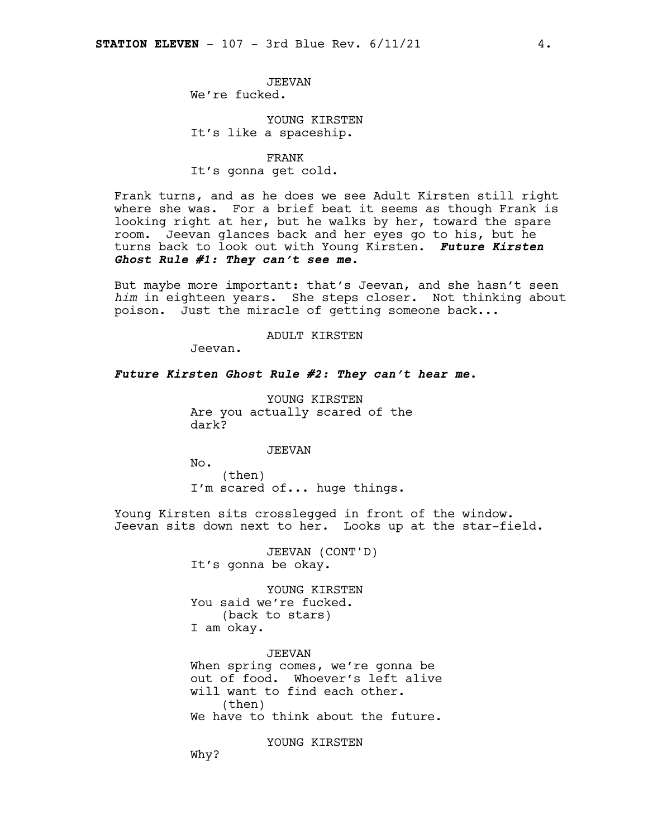JEEVAN We're fucked.

### YOUNG KIRSTEN It's like a spaceship.

FRANK It's gonna get cold.

Frank turns, and as he does we see Adult Kirsten still right where she was. For a brief beat it seems as though Frank is looking right at her, but he walks by her, toward the spare room. Jeevan glances back and her eyes go to his, but he turns back to look out with Young Kirsten. *Future Kirsten Ghost Rule #1: They can't see me.*

But maybe more important: that's Jeevan, and she hasn't seen *him* in eighteen years. She steps closer. Not thinking about poison. Just the miracle of getting someone back...

### ADULT KIRSTEN

Jeevan.

### *Future Kirsten Ghost Rule #2: They can't hear me.*

YOUNG KIRSTEN Are you actually scared of the dark?

### JEEVAN

No. (then) I'm scared of... huge things.

Young Kirsten sits crosslegged in front of the window. Jeevan sits down next to her. Looks up at the star-field.

> JEEVAN (CONT'D) It's gonna be okay.

YOUNG KIRSTEN You said we're fucked. (back to stars) I am okay.

JEEVAN When spring comes, we're gonna be out of food. Whoever's left alive will want to find each other. (then) We have to think about the future.

YOUNG KIRSTEN

Why?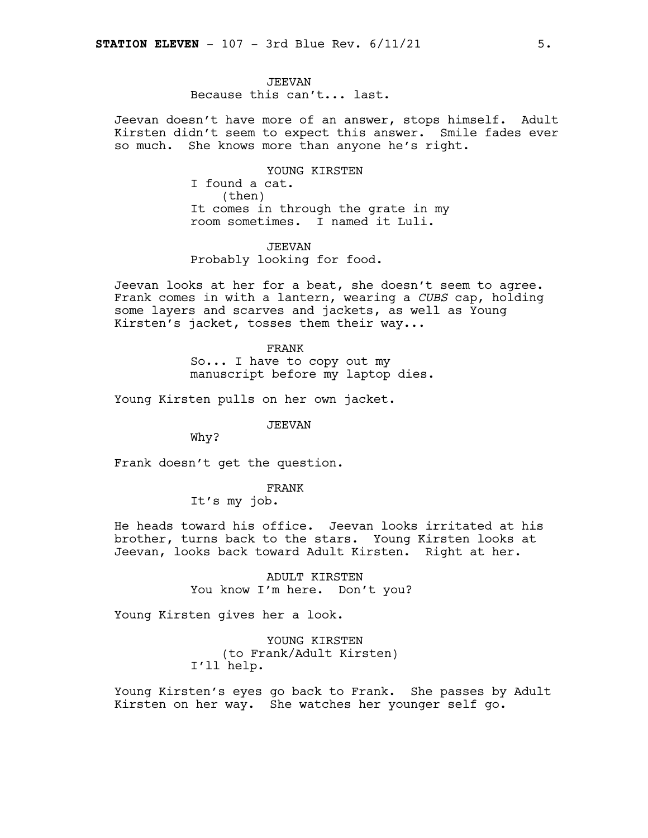### JEEVAN

Because this can't... last.

Jeevan doesn't have more of an answer, stops himself. Adult Kirsten didn't seem to expect this answer. Smile fades ever so much. She knows more than anyone he's right.

> YOUNG KIRSTEN I found a cat. (then) It comes in through the grate in my room sometimes. I named it Luli.

JEEVAN Probably looking for food.

Jeevan looks at her for a beat, she doesn't seem to agree. Frank comes in with a lantern, wearing a *CUBS* cap, holding some layers and scarves and jackets, as well as Young Kirsten's jacket, tosses them their way...

> FRANK So... I have to copy out my manuscript before my laptop dies.

Young Kirsten pulls on her own jacket.

JEEVAN

Why?

Frank doesn't get the question.

FRANK

It's my job.

He heads toward his office. Jeevan looks irritated at his brother, turns back to the stars. Young Kirsten looks at Jeevan, looks back toward Adult Kirsten. Right at her.

> ADULT KIRSTEN You know I'm here. Don't you?

Young Kirsten gives her a look.

YOUNG KIRSTEN (to Frank/Adult Kirsten) I'll help.

Young Kirsten's eyes go back to Frank. She passes by Adult Kirsten on her way. She watches her younger self go.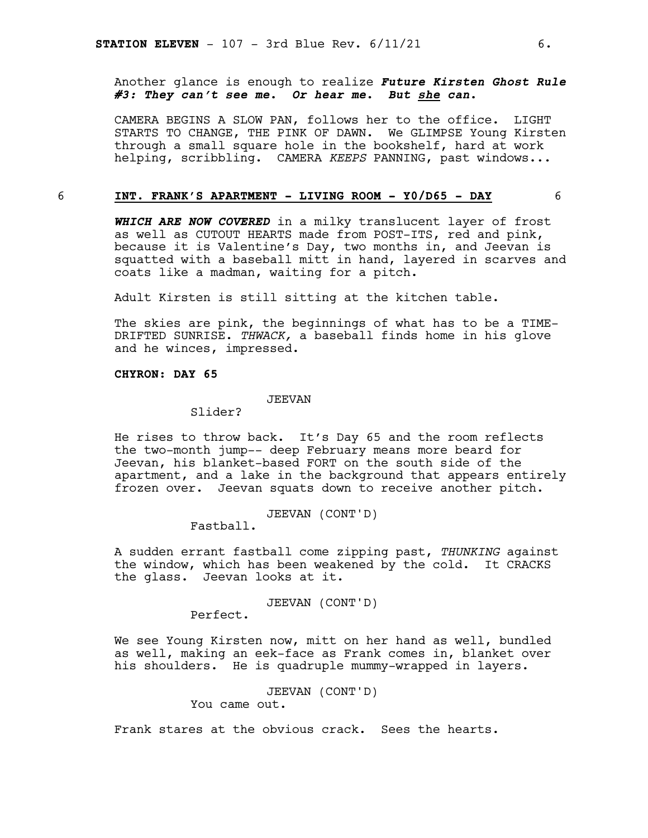Another glance is enough to realize *Future Kirsten Ghost Rule #3: They can't see me. Or hear me. But she can.*

CAMERA BEGINS A SLOW PAN, follows her to the office. LIGHT STARTS TO CHANGE, THE PINK OF DAWN. We GLIMPSE Young Kirsten through a small square hole in the bookshelf, hard at work helping, scribbling. CAMERA *KEEPS* PANNING, past windows...

### 6 **INT. FRANK'S APARTMENT - LIVING ROOM - Y0/D65 - DAY** 6

*WHICH ARE NOW COVERED* in a milky translucent layer of frost as well as CUTOUT HEARTS made from POST-ITS, red and pink, because it is Valentine's Day, two months in, and Jeevan is squatted with a baseball mitt in hand, layered in scarves and coats like a madman, waiting for a pitch.

Adult Kirsten is still sitting at the kitchen table.

The skies are pink, the beginnings of what has to be a TIME-DRIFTED SUNRISE. *THWACK,* a baseball finds home in his glove and he winces, impressed.

### **CHYRON: DAY 65**

### JEEVAN

Slider?

He rises to throw back. It's Day 65 and the room reflects the two-month jump-- deep February means more beard for Jeevan, his blanket-based FORT on the south side of the apartment, and a lake in the background that appears entirely frozen over. Jeevan squats down to receive another pitch.

JEEVAN (CONT'D)

Fastball.

A sudden errant fastball come zipping past, *THUNKING* against the window, which has been weakened by the cold. It CRACKS the glass. Jeevan looks at it.

JEEVAN (CONT'D)

Perfect.

We see Young Kirsten now, mitt on her hand as well, bundled as well, making an eek-face as Frank comes in, blanket over his shoulders. He is quadruple mummy-wrapped in layers.

JEEVAN (CONT'D)

You came out.

Frank stares at the obvious crack. Sees the hearts.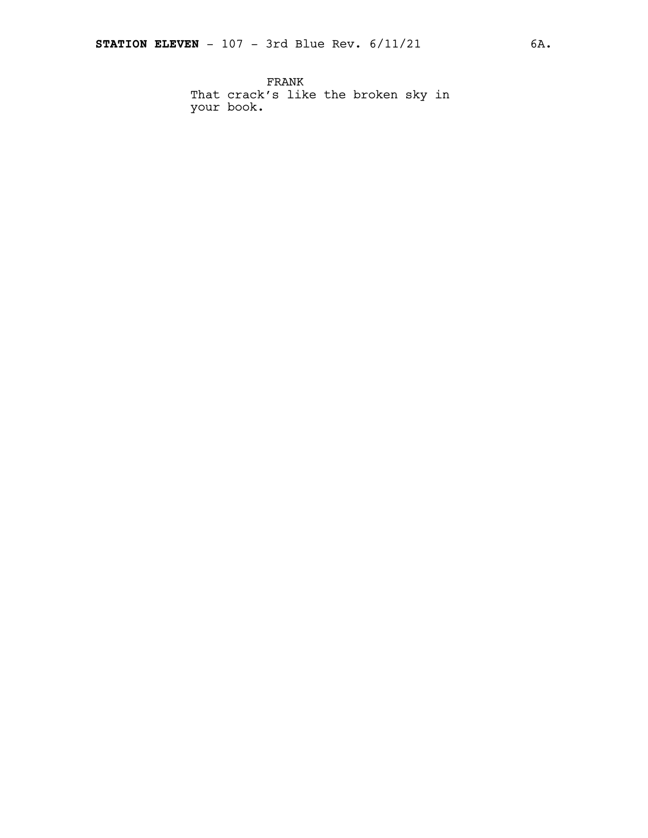FRANK That crack's like the broken sky in your book.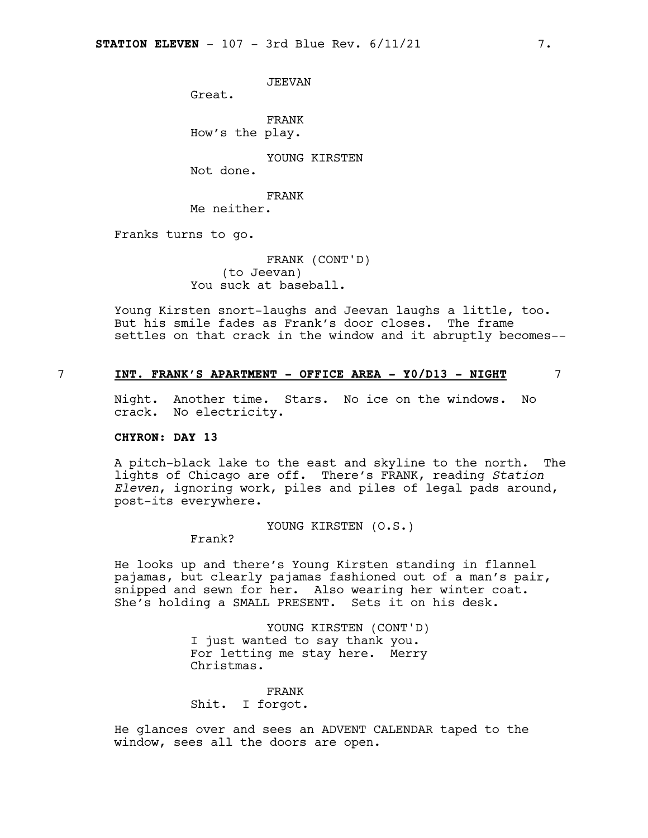JEEVAN

Great.

FRANK How's the play.

YOUNG KIRSTEN

Not done.

FRANK

Me neither.

Franks turns to go.

FRANK (CONT'D) (to Jeevan) You suck at baseball.

Young Kirsten snort-laughs and Jeevan laughs a little, too. But his smile fades as Frank's door closes. The frame settles on that crack in the window and it abruptly becomes--

### 7 **INT. FRANK'S APARTMENT - OFFICE AREA - Y0/D13 - NIGHT** 7

Night. Another time. Stars. No ice on the windows. No crack. No electricity.

### **CHYRON: DAY 13**

A pitch-black lake to the east and skyline to the north. The lights of Chicago are off. There's FRANK, reading *Station Eleven*, ignoring work, piles and piles of legal pads around, post-its everywhere.

YOUNG KIRSTEN (O.S.)

Frank?

He looks up and there's Young Kirsten standing in flannel pajamas, but clearly pajamas fashioned out of a man's pair, snipped and sewn for her. Also wearing her winter coat. She's holding a SMALL PRESENT. Sets it on his desk.

> YOUNG KIRSTEN (CONT'D) I just wanted to say thank you. For letting me stay here. Merry Christmas.

FRANK Shit. I forgot.

He glances over and sees an ADVENT CALENDAR taped to the window, sees all the doors are open.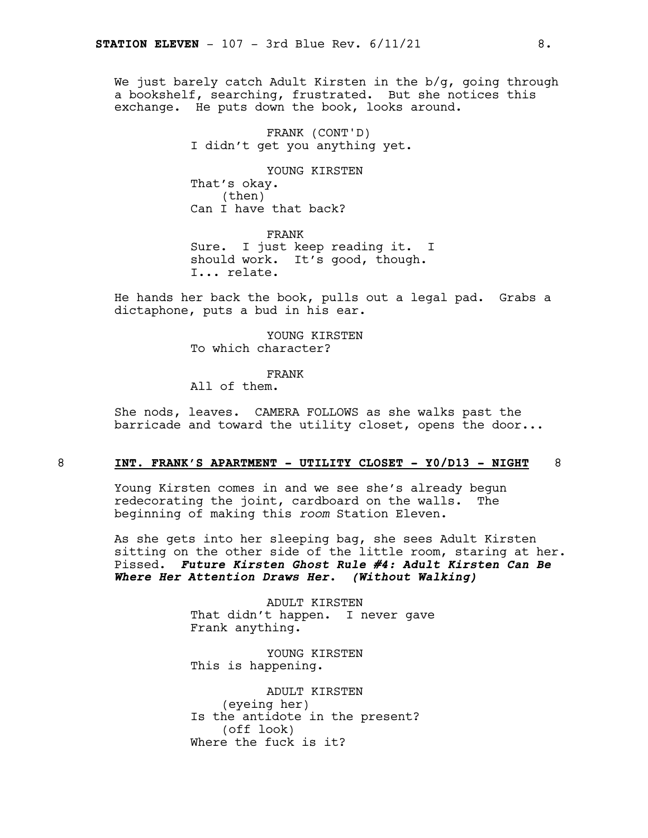We just barely catch Adult Kirsten in the b/g, going through a bookshelf, searching, frustrated. But she notices this exchange. He puts down the book, looks around.

> FRANK (CONT'D) I didn't get you anything yet.

YOUNG KIRSTEN That's okay. (then) Can I have that back?

FRANK Sure. I just keep reading it. I should work. It's good, though. I... relate.

He hands her back the book, pulls out a legal pad. Grabs a dictaphone, puts a bud in his ear.

> YOUNG KIRSTEN To which character?

### FRANK

All of them.

She nods, leaves. CAMERA FOLLOWS as she walks past the barricade and toward the utility closet, opens the door...

### 8 **INT. FRANK'S APARTMENT - UTILITY CLOSET - Y0/D13 - NIGHT** 8

Young Kirsten comes in and we see she's already begun redecorating the joint, cardboard on the walls. The beginning of making this *room* Station Eleven.

As she gets into her sleeping bag, she sees Adult Kirsten sitting on the other side of the little room, staring at her. Pissed. *Future Kirsten Ghost Rule #4: Adult Kirsten Can Be Where Her Attention Draws Her. (Without Walking)*

> ADULT KIRSTEN That didn't happen. I never gave Frank anything.

YOUNG KIRSTEN This is happening.

ADULT KIRSTEN (eyeing her) Is the antidote in the present? (off look) Where the fuck is it?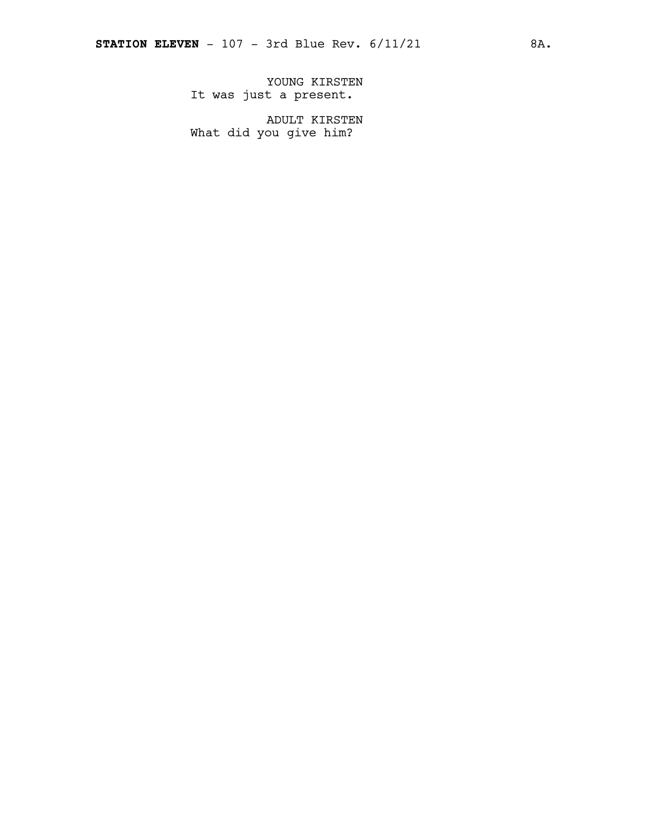YOUNG KIRSTEN It was just a present.

ADULT KIRSTEN What did you give him?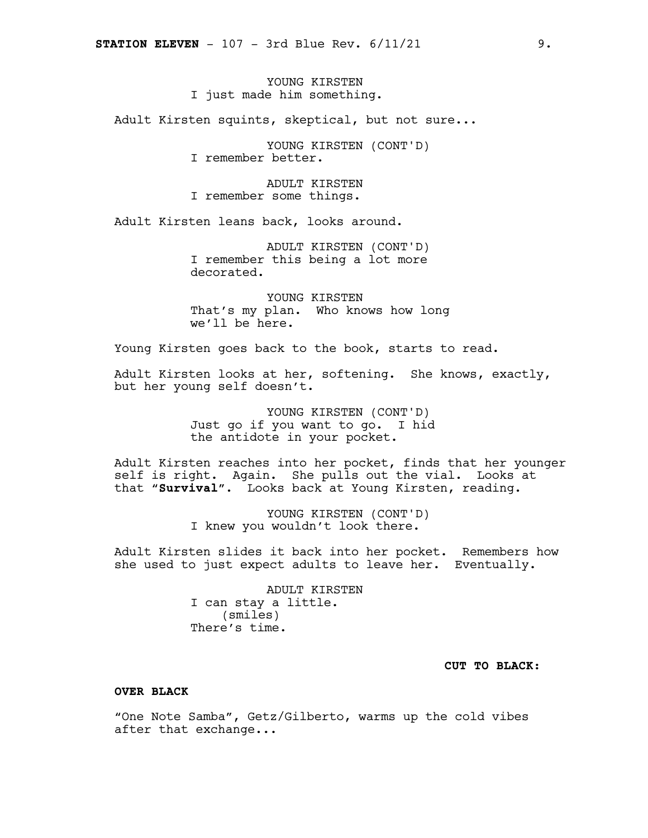### YOUNG KIRSTEN I just made him something.

Adult Kirsten squints, skeptical, but not sure...

YOUNG KIRSTEN (CONT'D) I remember better.

ADULT KIRSTEN I remember some things.

Adult Kirsten leans back, looks around.

ADULT KIRSTEN (CONT'D) I remember this being a lot more decorated.

YOUNG KIRSTEN That's my plan. Who knows how long we'll be here.

Young Kirsten goes back to the book, starts to read.

Adult Kirsten looks at her, softening. She knows, exactly, but her young self doesn't.

> YOUNG KIRSTEN (CONT'D) Just go if you want to go. I hid the antidote in your pocket.

Adult Kirsten reaches into her pocket, finds that her younger self is right. Again. She pulls out the vial. Looks at that "**Survival**". Looks back at Young Kirsten, reading.

> YOUNG KIRSTEN (CONT'D) I knew you wouldn't look there.

Adult Kirsten slides it back into her pocket. Remembers how she used to just expect adults to leave her. Eventually.

> ADULT KIRSTEN I can stay a little. (smiles) There's time.

### **CUT TO BLACK:**

### **OVER BLACK**

"One Note Samba", Getz/Gilberto, warms up the cold vibes after that exchange...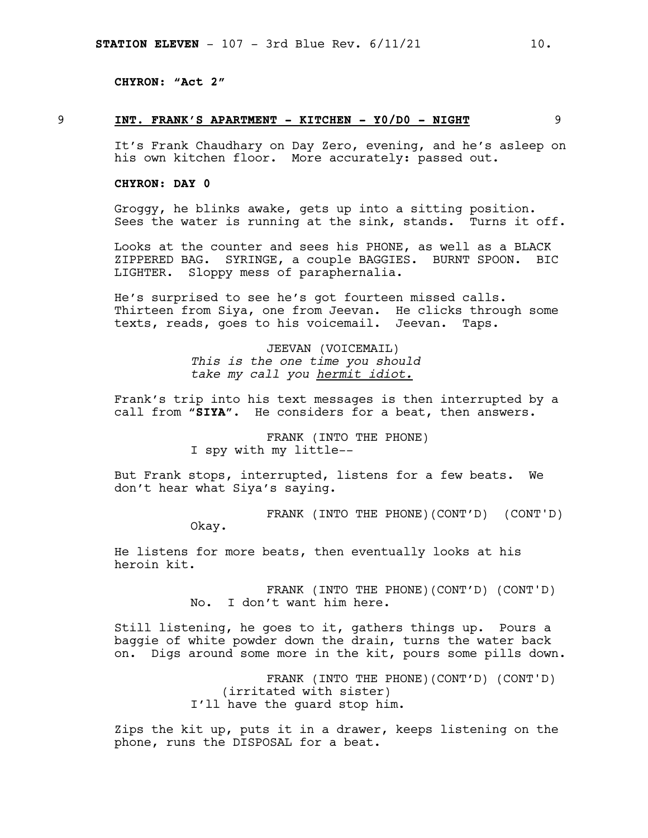**CHYRON: "Act 2"**

### 9 **INT. FRANK'S APARTMENT - KITCHEN - Y0/D0 - NIGHT** 9

It's Frank Chaudhary on Day Zero, evening, and he's asleep on his own kitchen floor. More accurately: passed out.

### **CHYRON: DAY 0**

Groggy, he blinks awake, gets up into a sitting position. Sees the water is running at the sink, stands. Turns it off.

Looks at the counter and sees his PHONE, as well as a BLACK ZIPPERED BAG. SYRINGE, a couple BAGGIES. BURNT SPOON. BIC LIGHTER. Sloppy mess of paraphernalia.

He's surprised to see he's got fourteen missed calls. Thirteen from Siya, one from Jeevan. He clicks through some texts, reads, goes to his voicemail. Jeevan. Taps.

> JEEVAN (VOICEMAIL) *This is the one time you should take my call you hermit idiot.*

Frank's trip into his text messages is then interrupted by a call from "**SIYA**". He considers for a beat, then answers.

> FRANK (INTO THE PHONE) I spy with my little--

But Frank stops, interrupted, listens for a few beats. We don't hear what Siya's saying.

> FRANK (INTO THE PHONE)(CONT'D) (CONT'D) Okay.

He listens for more beats, then eventually looks at his heroin kit.

> FRANK (INTO THE PHONE)(CONT'D) (CONT'D) No. I don't want him here.

Still listening, he goes to it, gathers things up. Pours a baggie of white powder down the drain, turns the water back on. Digs around some more in the kit, pours some pills down.

> FRANK (INTO THE PHONE)(CONT'D) (CONT'D) (irritated with sister) I'll have the guard stop him.

Zips the kit up, puts it in a drawer, keeps listening on the phone, runs the DISPOSAL for a beat.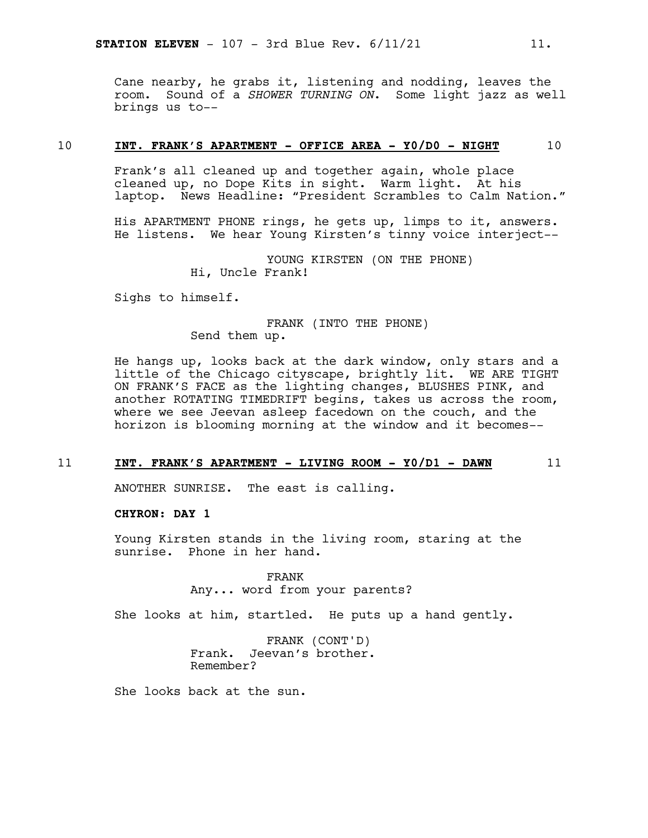Cane nearby, he grabs it, listening and nodding, leaves the room. Sound of a *SHOWER TURNING ON*. Some light jazz as well brings us to--

### 10 **INT. FRANK'S APARTMENT - OFFICE AREA - Y0/D0 - NIGHT** 10

Frank's all cleaned up and together again, whole place cleaned up, no Dope Kits in sight. Warm light. At his laptop. News Headline: "President Scrambles to Calm Nation."

His APARTMENT PHONE rings, he gets up, limps to it, answers. He listens. We hear Young Kirsten's tinny voice interject--

> YOUNG KIRSTEN (ON THE PHONE) Hi, Uncle Frank!

Sighs to himself.

FRANK (INTO THE PHONE) Send them up.

He hangs up, looks back at the dark window, only stars and a little of the Chicago cityscape, brightly lit. WE ARE TIGHT ON FRANK'S FACE as the lighting changes, BLUSHES PINK, and another ROTATING TIMEDRIFT begins, takes us across the room, where we see Jeevan asleep facedown on the couch, and the horizon is blooming morning at the window and it becomes--

### 11 **INT. FRANK'S APARTMENT - LIVING ROOM - Y0/D1 - DAWN** 11

ANOTHER SUNRISE. The east is calling.

**CHYRON: DAY 1**

Young Kirsten stands in the living room, staring at the sunrise. Phone in her hand.

> FRANK Any... word from your parents?

She looks at him, startled. He puts up a hand gently.

FRANK (CONT'D) Frank. Jeevan's brother. Remember?

She looks back at the sun.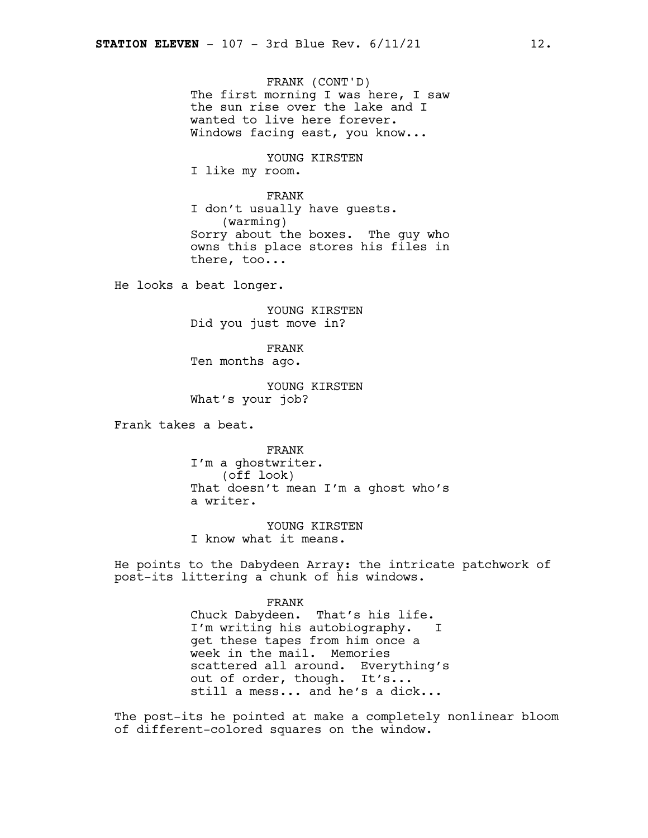FRANK (CONT'D) The first morning I was here, I saw the sun rise over the lake and I wanted to live here forever. Windows facing east, you know...

YOUNG KIRSTEN I like my room.

FRANK I don't usually have guests. (warming) Sorry about the boxes. The guy who owns this place stores his files in there, too...

He looks a beat longer.

YOUNG KIRSTEN Did you just move in?

FRANK Ten months ago.

YOUNG KIRSTEN What's your job?

Frank takes a beat.

FRANK I'm a ghostwriter. (off look) That doesn't mean I'm a ghost who's a writer.

YOUNG KIRSTEN I know what it means.

He points to the Dabydeen Array: the intricate patchwork of post-its littering a chunk of his windows.

> FRANK Chuck Dabydeen. That's his life. I'm writing his autobiography. I get these tapes from him once a week in the mail. Memories scattered all around. Everything's out of order, though. It's... still a mess... and he's a dick...

The post-its he pointed at make a completely nonlinear bloom of different-colored squares on the window.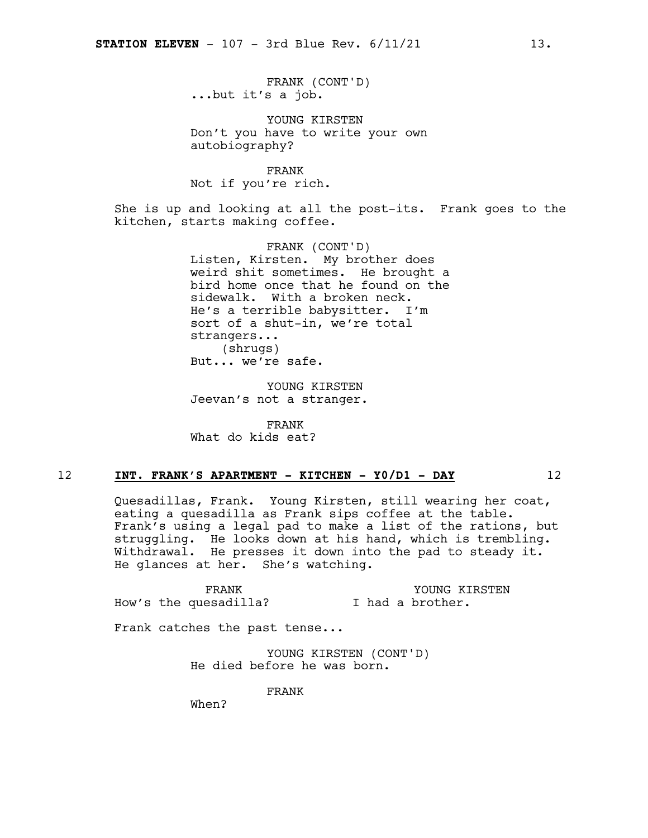FRANK (CONT'D) ...but it's a job.

YOUNG KIRSTEN Don't you have to write your own autobiography?

FRANK Not if you're rich.

She is up and looking at all the post-its. Frank goes to the kitchen, starts making coffee.

> FRANK (CONT'D) Listen, Kirsten. My brother does weird shit sometimes. He brought a bird home once that he found on the sidewalk. With a broken neck. He's a terrible babysitter. I'm sort of a shut-in, we're total strangers... (shrugs) But... we're safe.

YOUNG KIRSTEN Jeevan's not a stranger.

FRANK What do kids eat?

### 12 **INT. FRANK'S APARTMENT - KITCHEN - Y0/D1 - DAY** 12

Quesadillas, Frank. Young Kirsten, still wearing her coat, eating a quesadilla as Frank sips coffee at the table. Frank's using a legal pad to make a list of the rations, but struggling. He looks down at his hand, which is trembling. Withdrawal. He presses it down into the pad to steady it. He glances at her. She's watching.

FRANK How's the quesadilla? YOUNG KIRSTEN I had a brother.

Frank catches the past tense...

YOUNG KIRSTEN (CONT'D) He died before he was born.

FRANK

When?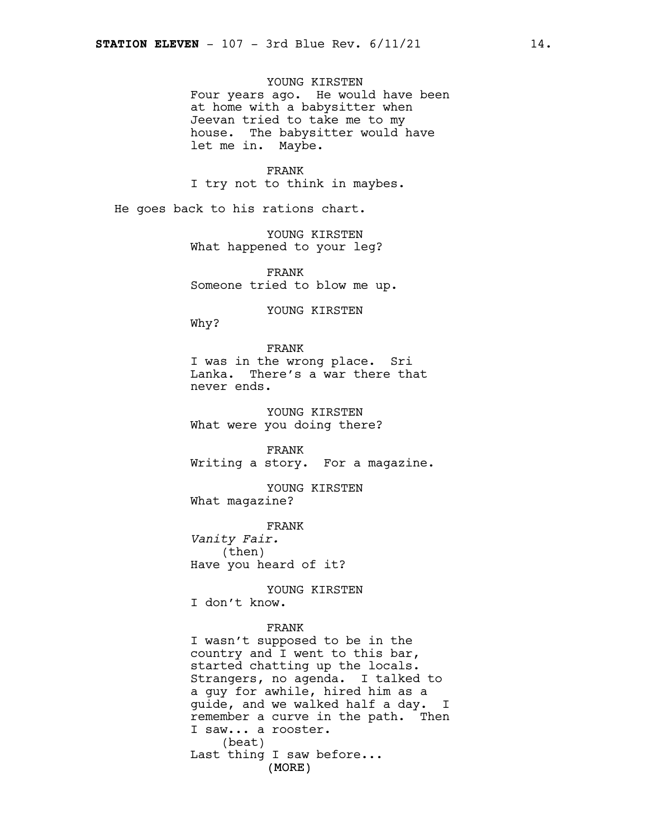YOUNG KIRSTEN Four years ago. He would have been at home with a babysitter when Jeevan tried to take me to my house. The babysitter would have let me in. Maybe.

FRANK I try not to think in maybes.

He goes back to his rations chart.

YOUNG KIRSTEN What happened to your leg?

FRANK Someone tried to blow me up.

YOUNG KIRSTEN

Why?

### FRANK

I was in the wrong place. Sri Lanka. There's a war there that never ends.

YOUNG KIRSTEN What were you doing there?

FRANK Writing a story. For a magazine.

YOUNG KIRSTEN What magazine?

FRANK *Vanity Fair.* (then) Have you heard of it?

YOUNG KIRSTEN I don't know.

### FRANK

(MORE) I wasn't supposed to be in the country and I went to this bar, started chatting up the locals. Strangers, no agenda. I talked to a guy for awhile, hired him as a guide, and we walked half a day. I remember a curve in the path. Then I saw... a rooster. (beat) Last thing I saw before...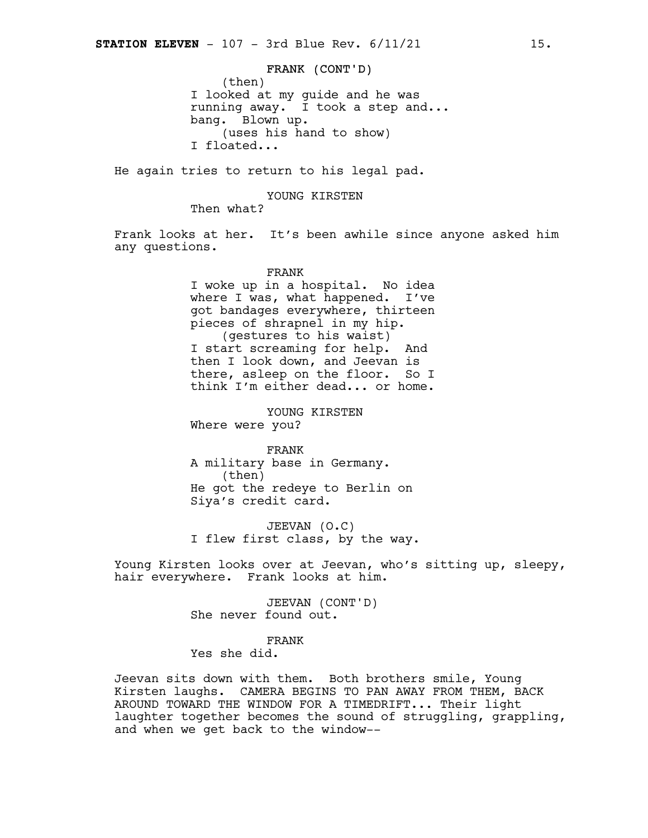### FRANK (CONT'D)

(then) I looked at my guide and he was running away. I took a step and... bang. Blown up. (uses his hand to show) I floated...

He again tries to return to his legal pad.

### YOUNG KIRSTEN

Then what?

Frank looks at her. It's been awhile since anyone asked him any questions.

### FRANK

I woke up in a hospital. No idea where I was, what happened. I've got bandages everywhere, thirteen pieces of shrapnel in my hip. (gestures to his waist) I start screaming for help. And then I look down, and Jeevan is there, asleep on the floor. So I think I'm either dead... or home.

YOUNG KIRSTEN Where were you?

FRANK A military base in Germany. (then) He got the redeye to Berlin on Siya's credit card.

JEEVAN (O.C) I flew first class, by the way.

Young Kirsten looks over at Jeevan, who's sitting up, sleepy, hair everywhere. Frank looks at him.

> JEEVAN (CONT'D) She never found out.

### FRANK

Yes she did.

Jeevan sits down with them. Both brothers smile, Young Kirsten laughs. CAMERA BEGINS TO PAN AWAY FROM THEM, BACK AROUND TOWARD THE WINDOW FOR A TIMEDRIFT... Their light laughter together becomes the sound of struggling, grappling, and when we get back to the window--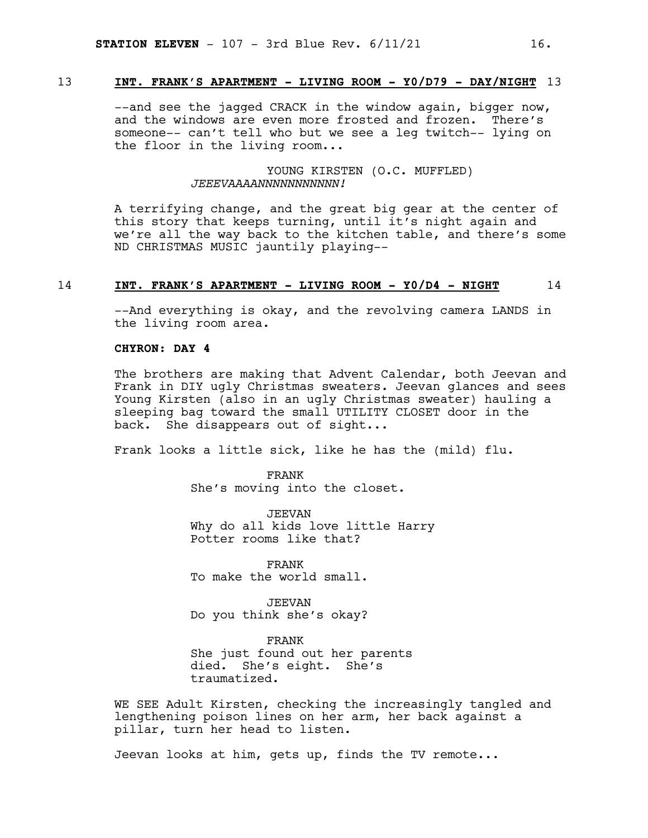### 13 **INT. FRANK'S APARTMENT - LIVING ROOM - Y0/D79 - DAY/NIGHT** 13

--and see the jagged CRACK in the window again, bigger now, and the windows are even more frosted and frozen. There's someone-- can't tell who but we see a leg twitch-- lying on the floor in the living room...

### YOUNG KIRSTEN (O.C. MUFFLED) *JEEEVAAAANNNNNNNNNNN!*

A terrifying change, and the great big gear at the center of this story that keeps turning, until it's night again and we're all the way back to the kitchen table, and there's some ND CHRISTMAS MUSIC jauntily playing--

### 14 **INT. FRANK'S APARTMENT - LIVING ROOM - Y0/D4 - NIGHT** 14

--And everything is okay, and the revolving camera LANDS in the living room area.

### **CHYRON: DAY 4**

The brothers are making that Advent Calendar, both Jeevan and Frank in DIY ugly Christmas sweaters. Jeevan glances and sees Young Kirsten (also in an ugly Christmas sweater) hauling a sleeping bag toward the small UTILITY CLOSET door in the back. She disappears out of sight...

Frank looks a little sick, like he has the (mild) flu.

FRANK She's moving into the closet.

JEEVAN Why do all kids love little Harry Potter rooms like that?

FRANK To make the world small.

JEEVAN Do you think she's okay?

FRANK She just found out her parents died. She's eight. She's traumatized.

WE SEE Adult Kirsten, checking the increasingly tangled and lengthening poison lines on her arm, her back against a pillar, turn her head to listen.

Jeevan looks at him, gets up, finds the TV remote...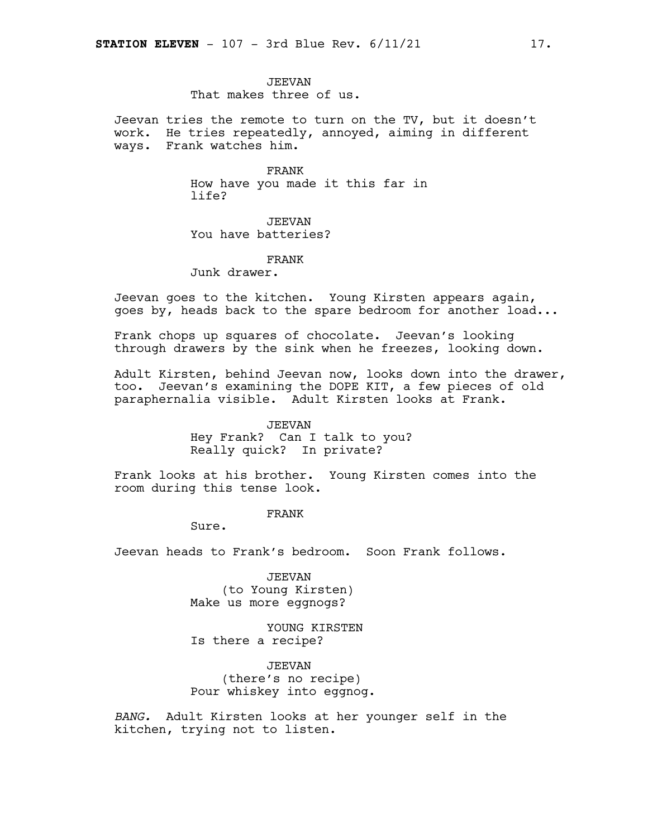### JEEVAN

That makes three of us.

Jeevan tries the remote to turn on the TV, but it doesn't work. He tries repeatedly, annoyed, aiming in different ways. Frank watches him.

> FRANK How have you made it this far in life?

JEEVAN You have batteries?

FRANK

Junk drawer.

Jeevan goes to the kitchen. Young Kirsten appears again, goes by, heads back to the spare bedroom for another load...

Frank chops up squares of chocolate. Jeevan's looking through drawers by the sink when he freezes, looking down.

Adult Kirsten, behind Jeevan now, looks down into the drawer, too*.* Jeevan's examining the DOPE KIT, a few pieces of old paraphernalia visible. Adult Kirsten looks at Frank.

### JEEVAN

Hey Frank? Can I talk to you? Really quick? In private?

Frank looks at his brother. Young Kirsten comes into the room during this tense look.

### FRANK

Sure.

Jeevan heads to Frank's bedroom. Soon Frank follows.

JEEVAN (to Young Kirsten) Make us more eggnogs?

YOUNG KIRSTEN Is there a recipe?

JEEVAN (there's no recipe) Pour whiskey into eggnog.

*BANG.* Adult Kirsten looks at her younger self in the kitchen, trying not to listen.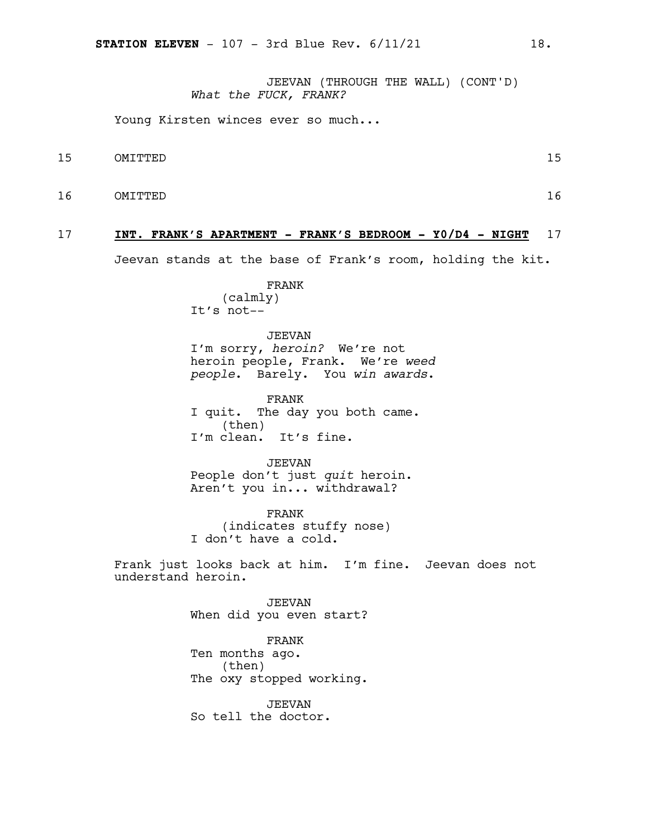JEEVAN (THROUGH THE WALL) (CONT'D) *What the FUCK, FRANK?*

Young Kirsten winces ever so much...

- 15 OMITTED 15
- 16 OMITTED 16

### 17 **INT. FRANK'S APARTMENT - FRANK'S BEDROOM - Y0/D4 - NIGHT** 17

Jeevan stands at the base of Frank's room, holding the kit.

FRANK (calmly) It's not--

JEEVAN I'm sorry, *heroin?* We're not heroin people, Frank. We're *weed people*. Barely. You *win awards*.

FRANK I quit. The day you both came. (then) I'm clean. It's fine.

JEEVAN People don't just *quit* heroin. Aren't you in... withdrawal?

FRANK (indicates stuffy nose) I don't have a cold.

Frank just looks back at him. I'm fine. Jeevan does not understand heroin.

> JEEVAN When did you even start?

> FRANK Ten months ago. (then) The oxy stopped working.

JEEVAN So tell the doctor.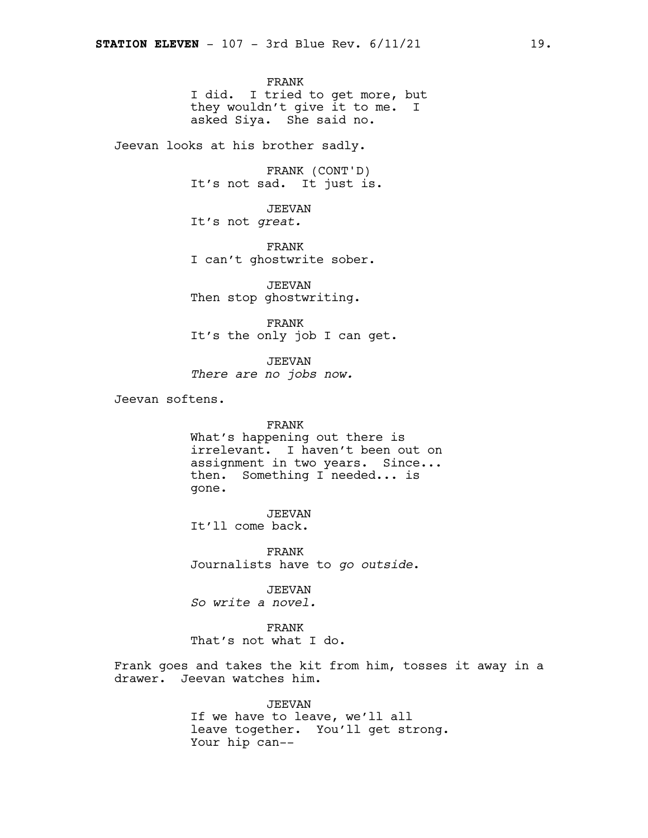FRANK I did. I tried to get more, but they wouldn't give it to me. I asked Siya. She said no.

Jeevan looks at his brother sadly.

FRANK (CONT'D) It's not sad. It just is.

JEEVAN It's not *great.*

FRANK I can't ghostwrite sober.

JEEVAN Then stop ghostwriting.

FRANK It's the only job I can get.

JEEVAN *There are no jobs now.*

Jeevan softens.

### FRANK

What's happening out there is irrelevant. I haven't been out on assignment in two years. Since... then. Something I needed... is gone.

JEEVAN It'll come back.

FRANK Journalists have to *go outside*.

JEEVAN *So write a novel.*

FRANK That's not what I do.

Frank goes and takes the kit from him, tosses it away in a drawer. Jeevan watches him.

> JEEVAN If we have to leave, we'll all leave together. You'll get strong. Your hip can--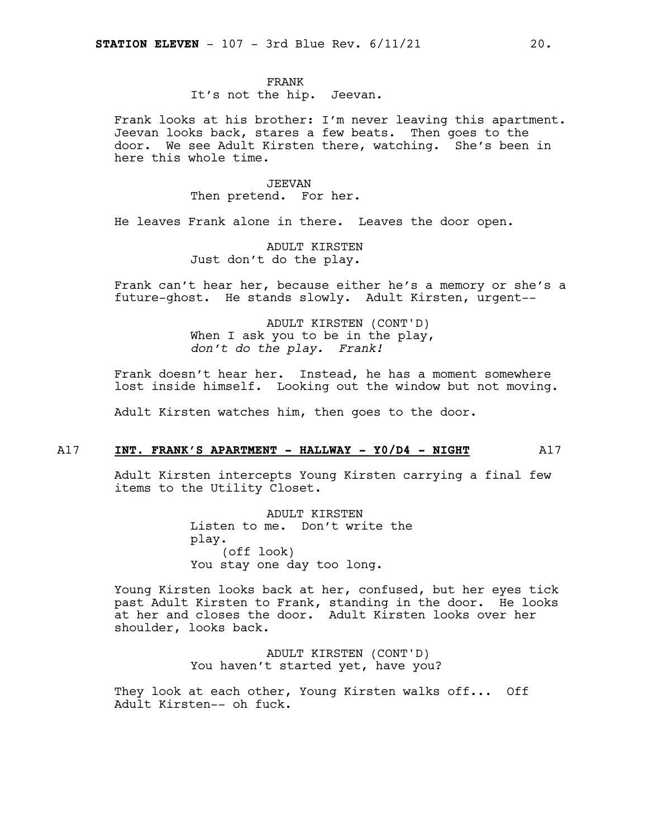### FRANK

It's not the hip. Jeevan.

Frank looks at his brother: I'm never leaving this apartment. Jeevan looks back, stares a few beats. Then goes to the door. We see Adult Kirsten there, watching. She's been in here this whole time.

> JEEVAN Then pretend. For her.

He leaves Frank alone in there. Leaves the door open.

ADULT KIRSTEN Just don't do the play.

Frank can't hear her, because either he's a memory or she's a future-ghost. He stands slowly. Adult Kirsten, urgent--

> ADULT KIRSTEN (CONT'D) When I ask you to be in the play, *don't do the play. Frank!*

Frank doesn't hear her. Instead, he has a moment somewhere lost inside himself. Looking out the window but not moving.

Adult Kirsten watches him, then goes to the door.

### A17 **INT. FRANK'S APARTMENT - HALLWAY - Y0/D4 - NIGHT** A17

Adult Kirsten intercepts Young Kirsten carrying a final few items to the Utility Closet.

> ADULT KIRSTEN Listen to me. Don't write the play. (off look) You stay one day too long.

Young Kirsten looks back at her, confused, but her eyes tick past Adult Kirsten to Frank, standing in the door. He looks at her and closes the door. Adult Kirsten looks over her shoulder, looks back.

> ADULT KIRSTEN (CONT'D) You haven't started yet, have you?

They look at each other, Young Kirsten walks off... Off Adult Kirsten-- oh fuck.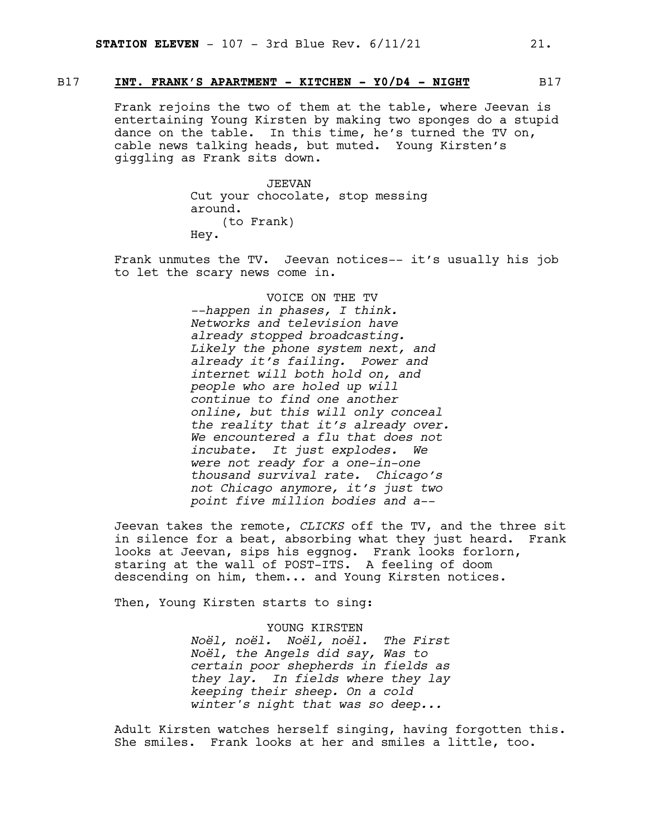### B17 **INT. FRANK'S APARTMENT - KITCHEN - Y0/D4 - NIGHT** B17

Frank rejoins the two of them at the table, where Jeevan is entertaining Young Kirsten by making two sponges do a stupid dance on the table. In this time, he's turned the TV on, cable news talking heads, but muted. Young Kirsten's giggling as Frank sits down.

> JEEVAN Cut your chocolate, stop messing around. (to Frank) Hey.

Frank unmutes the TV. Jeevan notices-- it's usually his job to let the scary news come in.

> VOICE ON THE TV *--happen in phases, I think. Networks and television have already stopped broadcasting. Likely the phone system next, and already it's failing. Power and internet will both hold on, and people who are holed up will continue to find one another online, but this will only conceal the reality that it's already over. We encountered a flu that does not incubate. It just explodes. We were not ready for a one-in-one thousand survival rate. Chicago's not Chicago anymore, it's just two point five million bodies and a--*

Jeevan takes the remote, *CLICKS* off the TV, and the three sit in silence for a beat, absorbing what they just heard. Frank looks at Jeevan, sips his eggnog. Frank looks forlorn, staring at the wall of POST-ITS. A feeling of doom descending on him, them... and Young Kirsten notices.

Then, Young Kirsten starts to sing:

YOUNG KIRSTEN *Noël, noël. Noël, noël. The First Noël, the Angels did say, Was to certain poor shepherds in fields as they lay. In fields where they lay keeping their sheep. On a cold winter's night that was so deep...*

Adult Kirsten watches herself singing, having forgotten this. She smiles. Frank looks at her and smiles a little, too.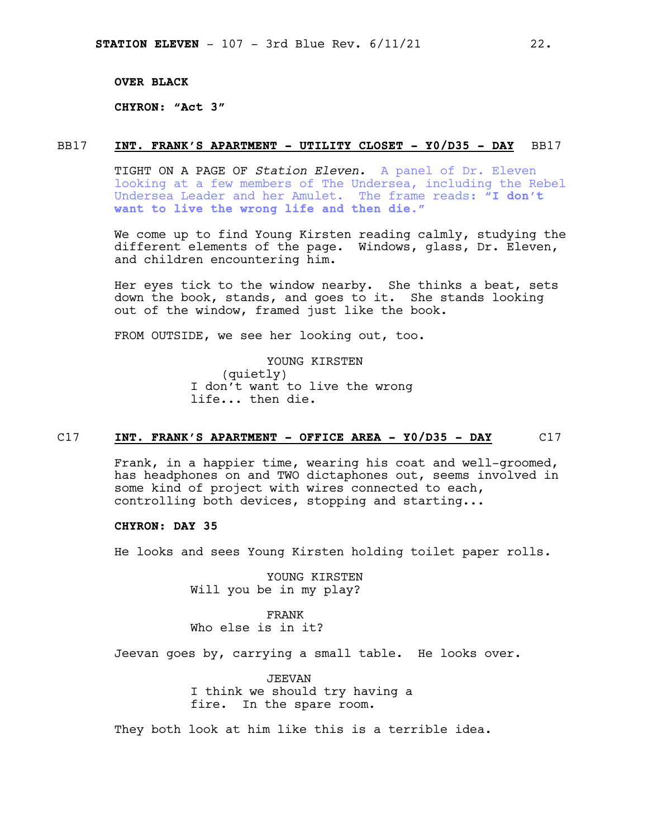**OVER BLACK**

**CHYRON: "Act 3"**

### BB17 **INT. FRANK'S APARTMENT - UTILITY CLOSET - Y0/D35 - DAY** BB17

TIGHT ON A PAGE OF *Station Eleven.* A panel of Dr. Eleven looking at a few members of The Undersea, including the Rebel Undersea Leader and her Amulet. The frame reads: **"I don't want to live the wrong life and then die."**

We come up to find Young Kirsten reading calmly, studying the different elements of the page. Windows, glass, Dr. Eleven, and children encountering him.

Her eyes tick to the window nearby. She thinks a beat, sets down the book, stands, and goes to it. She stands looking out of the window, framed just like the book.

FROM OUTSIDE, we see her looking out, too.

YOUNG KIRSTEN (quietly) I don't want to live the wrong life... then die.

### C17 **INT. FRANK'S APARTMENT - OFFICE AREA - Y0/D35 - DAY** C17

Frank, in a happier time, wearing his coat and well-groomed, has headphones on and TWO dictaphones out, seems involved in some kind of project with wires connected to each, controlling both devices, stopping and starting...

### **CHYRON: DAY 35**

He looks and sees Young Kirsten holding toilet paper rolls*.*

YOUNG KIRSTEN Will you be in my play?

FRANK Who else is in it?

Jeevan goes by, carrying a small table. He looks over.

JEEVAN I think we should try having a fire. In the spare room.

They both look at him like this is a terrible idea.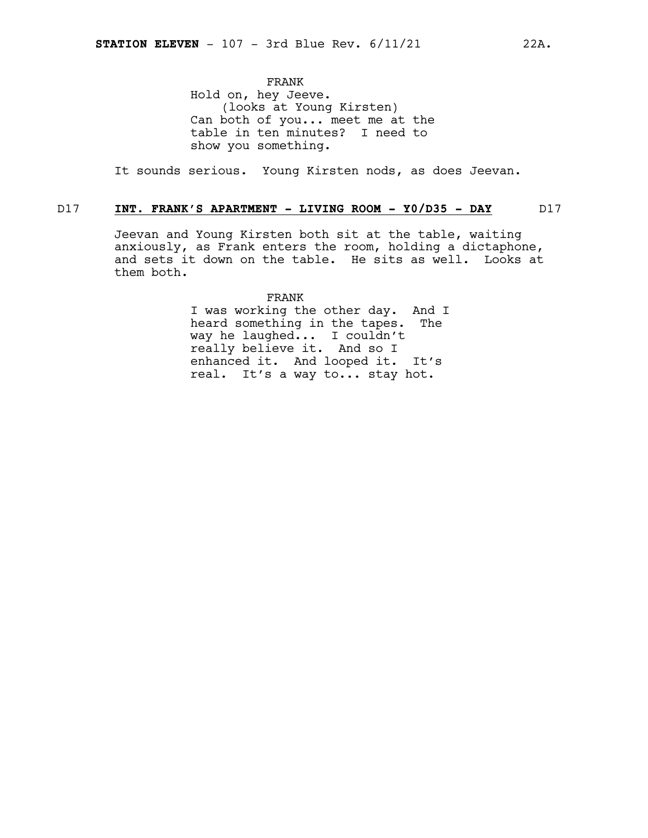FRANK Hold on, hey Jeeve. (looks at Young Kirsten) Can both of you... meet me at the table in ten minutes? I need to show you something.

It sounds serious. Young Kirsten nods, as does Jeevan.

### D17 **INT. FRANK'S APARTMENT - LIVING ROOM - Y0/D35 - DAY** D17

Jeevan and Young Kirsten both sit at the table, waiting anxiously, as Frank enters the room, holding a dictaphone, and sets it down on the table. He sits as well. Looks at them both.

> FRANK I was working the other day. And I heard something in the tapes. The way he laughed... I couldn't really believe it. And so I enhanced it. And looped it. It's real. It's a way to... stay hot.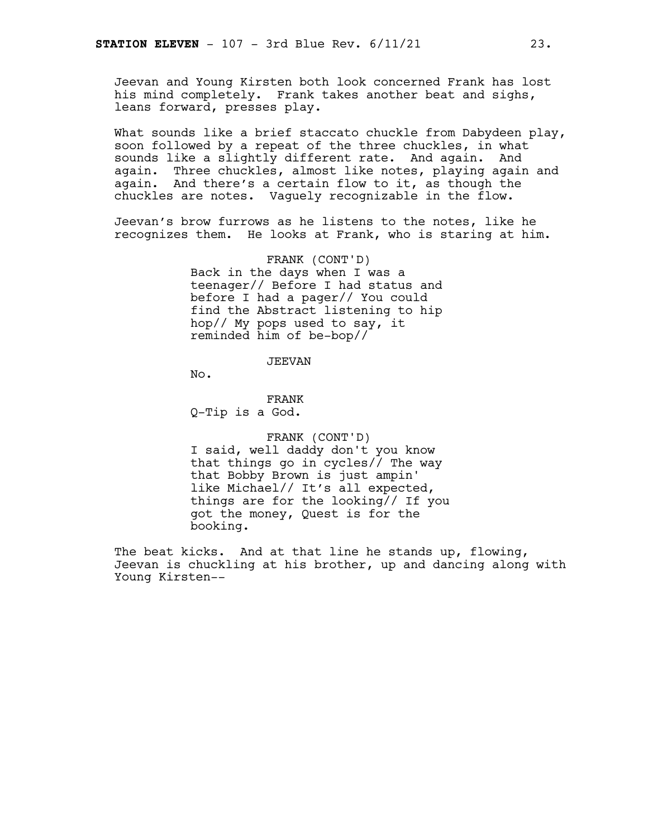Jeevan and Young Kirsten both look concerned Frank has lost his mind completely. Frank takes another beat and sighs, leans forward, presses play.

What sounds like a brief staccato chuckle from Dabydeen play, soon followed by a repeat of the three chuckles, in what sounds like a slightly different rate. And again. And again. Three chuckles, almost like notes, playing again and again. And there's a certain flow to it, as though the chuckles are notes. Vaguely recognizable in the flow.

Jeevan's brow furrows as he listens to the notes, like he recognizes them. He looks at Frank, who is staring at him.

> FRANK (CONT'D) Back in the days when I was a teenager// Before I had status and before I had a pager// You could find the Abstract listening to hip hop// My pops used to say, it reminded him of be-bop//

> > JEEVAN

No.

FRANK Q-Tip is a God.

FRANK (CONT'D) I said, well daddy don't you know that things go in cycles// The way that Bobby Brown is just ampin' like Michael// It's all expected, things are for the looking// If you got the money, Quest is for the booking.

The beat kicks. And at that line he stands up, flowing, Jeevan is chuckling at his brother, up and dancing along with Young Kirsten--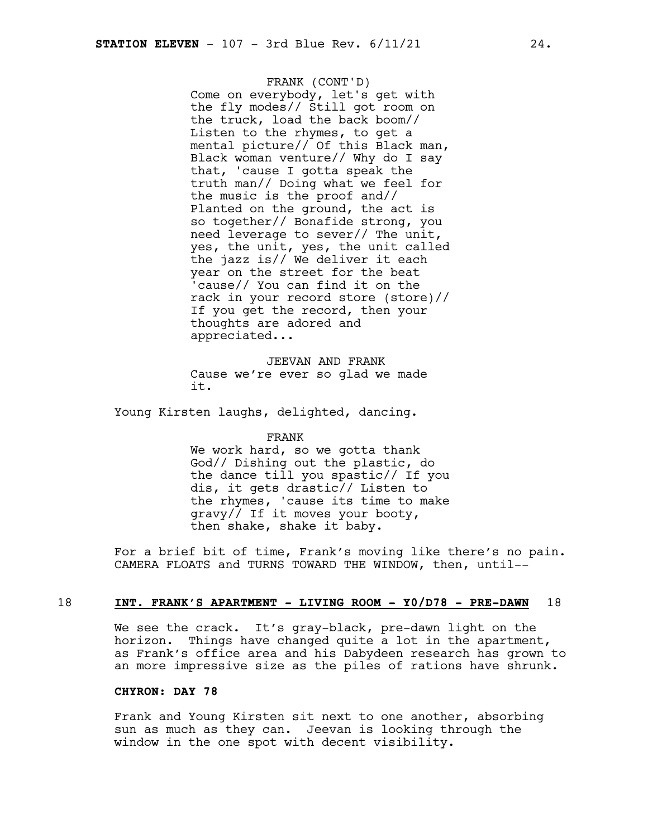FRANK (CONT'D) Come on everybody, let's get with the fly modes// Still got room on the truck, load the back boom// Listen to the rhymes, to get a mental picture// Of this Black man, Black woman venture// Why do I say that, 'cause I gotta speak the truth man// Doing what we feel for the music is the proof and// Planted on the ground, the act is so together// Bonafide strong, you need leverage to sever// The unit, yes, the unit, yes, the unit called the jazz is// We deliver it each year on the street for the beat 'cause// You can find it on the rack in your record store (store)// If you get the record, then your thoughts are adored and appreciated...

JEEVAN AND FRANK Cause we're ever so glad we made it.

Young Kirsten laughs, delighted, dancing.

### FRANK

We work hard, so we gotta thank God// Dishing out the plastic, do the dance till you spastic// If you dis, it gets drastic// Listen to the rhymes, 'cause its time to make gravy// If it moves your booty, then shake, shake it baby.

For a brief bit of time, Frank's moving like there's no pain. CAMERA FLOATS and TURNS TOWARD THE WINDOW, then, until--

### 18 **INT. FRANK'S APARTMENT - LIVING ROOM - Y0/D78 - PRE-DAWN** 18

We see the crack. It's gray-black, pre-dawn light on the horizon. Things have changed quite a lot in the apartment, as Frank's office area and his Dabydeen research has grown to an more impressive size as the piles of rations have shrunk.

### **CHYRON: DAY 78**

Frank and Young Kirsten sit next to one another, absorbing sun as much as they can. Jeevan is looking through the window in the one spot with decent visibility.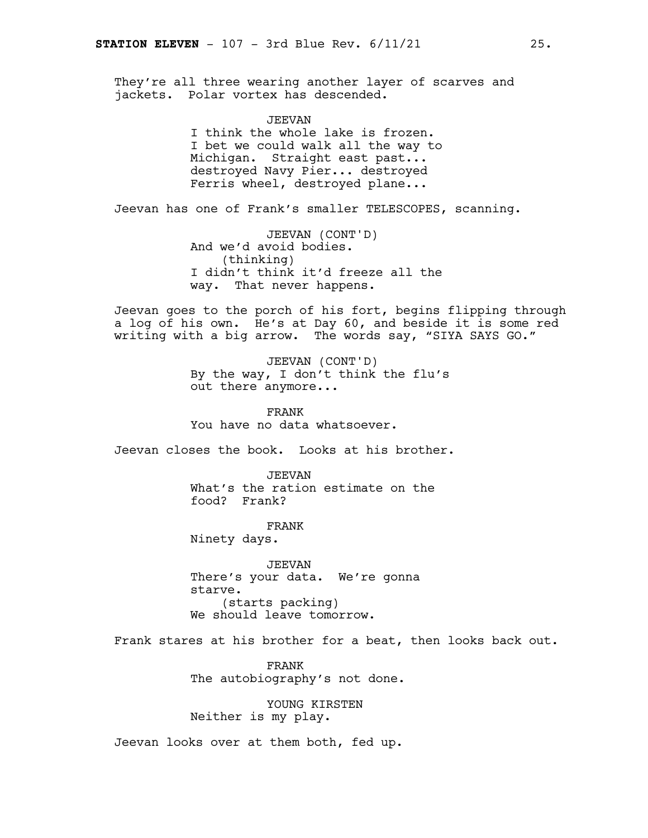They're all three wearing another layer of scarves and jackets. Polar vortex has descended.

JEEVAN

I think the whole lake is frozen. I bet we could walk all the way to Michigan. Straight east past... destroyed Navy Pier... destroyed Ferris wheel, destroyed plane...

Jeevan has one of Frank's smaller TELESCOPES, scanning.

JEEVAN (CONT'D) And we'd avoid bodies. (thinking) I didn't think it'd freeze all the way. That never happens.

Jeevan goes to the porch of his fort, begins flipping through a log of his own. He's at Day 60, and beside it is some red writing with a big arrow. The words say, "SIYA SAYS GO."

> JEEVAN (CONT'D) By the way, I don't think the flu's out there anymore...

FRANK You have no data whatsoever.

Jeevan closes the book. Looks at his brother.

JEEVAN What's the ration estimate on the food? Frank?

FRANK Ninety days.

JEEVAN There's your data. We're gonna starve. (starts packing) We should leave tomorrow.

Frank stares at his brother for a beat, then looks back out.

FRANK The autobiography's not done.

YOUNG KIRSTEN Neither is my play.

Jeevan looks over at them both, fed up.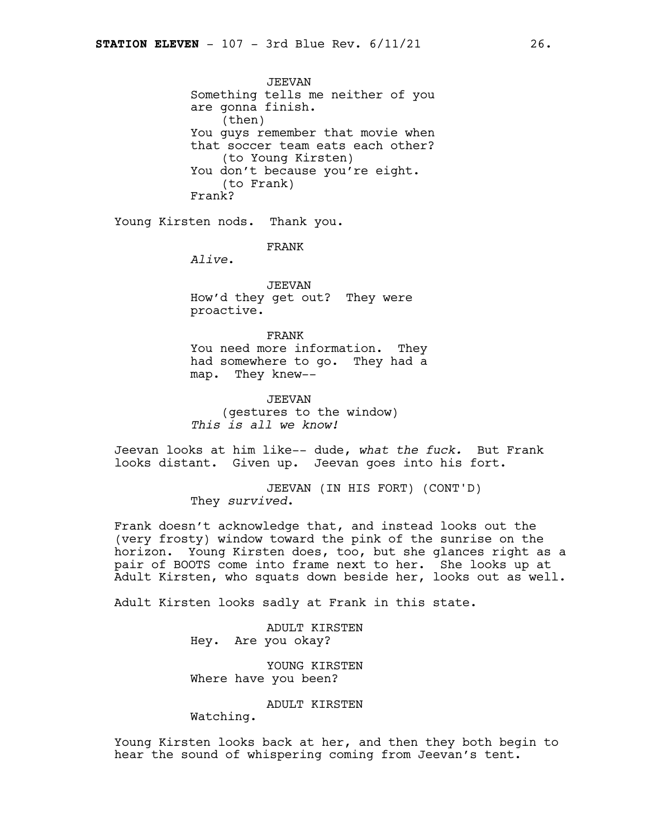JEEVAN Something tells me neither of you are gonna finish. (then) You guys remember that movie when that soccer team eats each other? (to Young Kirsten) You don't because you're eight. (to Frank) Frank?

Young Kirsten nods. Thank you.

FRANK

*Alive*.

JEEVAN How'd they get out? They were proactive.

FRANK You need more information. They had somewhere to go. They had a map. They knew--

JEEVAN (gestures to the window) *This is all we know!*

Jeevan looks at him like-- dude, *what the fuck.* But Frank looks distant. Given up. Jeevan goes into his fort.

> JEEVAN (IN HIS FORT) (CONT'D) They *survived*.

Frank doesn't acknowledge that, and instead looks out the (very frosty) window toward the pink of the sunrise on the horizon. Young Kirsten does, too, but she glances right as a pair of BOOTS come into frame next to her. She looks up at Adult Kirsten, who squats down beside her, looks out as well.

Adult Kirsten looks sadly at Frank in this state.

ADULT KIRSTEN Hey. Are you okay?

YOUNG KIRSTEN Where have you been?

ADULT KIRSTEN

Watching.

Young Kirsten looks back at her, and then they both begin to hear the sound of whispering coming from Jeevan's tent.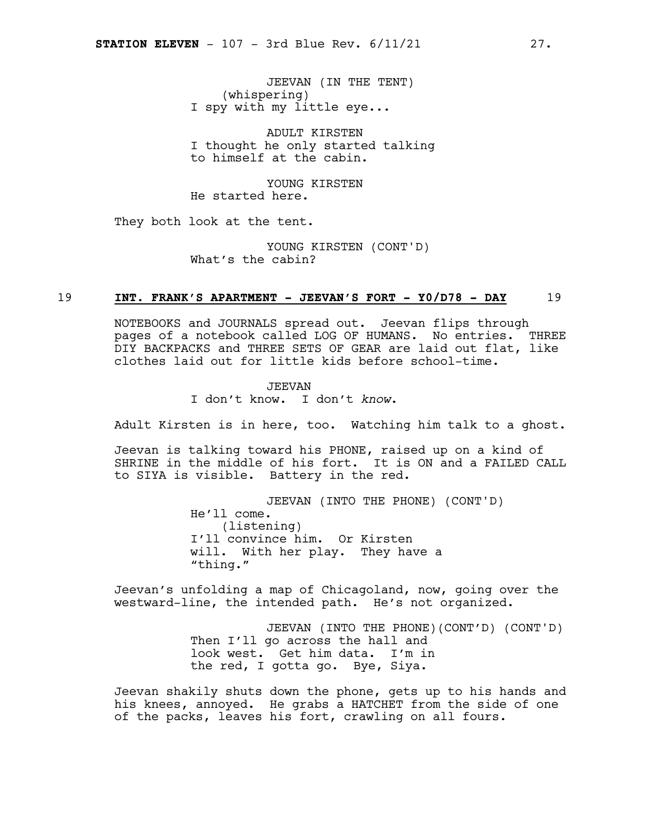JEEVAN (IN THE TENT) (whispering) I spy with my little eye...

ADULT KIRSTEN I thought he only started talking to himself at the cabin.

YOUNG KIRSTEN He started here.

They both look at the tent.

YOUNG KIRSTEN (CONT'D) What's the cabin?

### 19 **INT. FRANK'S APARTMENT - JEEVAN'S FORT - Y0/D78 - DAY** 19

NOTEBOOKS and JOURNALS spread out. Jeevan flips through pages of a notebook called LOG OF HUMANS. No entries. THREE DIY BACKPACKS and THREE SETS OF GEAR are laid out flat, like clothes laid out for little kids before school-time.

### JEEVAN I don't know. I don't *know*.

Adult Kirsten is in here, too. Watching him talk to a ghost.

Jeevan is talking toward his PHONE, raised up on a kind of SHRINE in the middle of his fort. It is ON and a FAILED CALL to SIYA is visible. Battery in the red.

> JEEVAN (INTO THE PHONE) (CONT'D) He'll come. (listening) I'll convince him. Or Kirsten will. With her play. They have a "thing."

Jeevan's unfolding a map of Chicagoland, now, going over the westward-line, the intended path. He's not organized.

> JEEVAN (INTO THE PHONE)(CONT'D) (CONT'D) Then I'll go across the hall and look west. Get him data. I'm in the red, I gotta go. Bye, Siya.

Jeevan shakily shuts down the phone, gets up to his hands and his knees, annoyed. He grabs a HATCHET from the side of one of the packs, leaves his fort, crawling on all fours.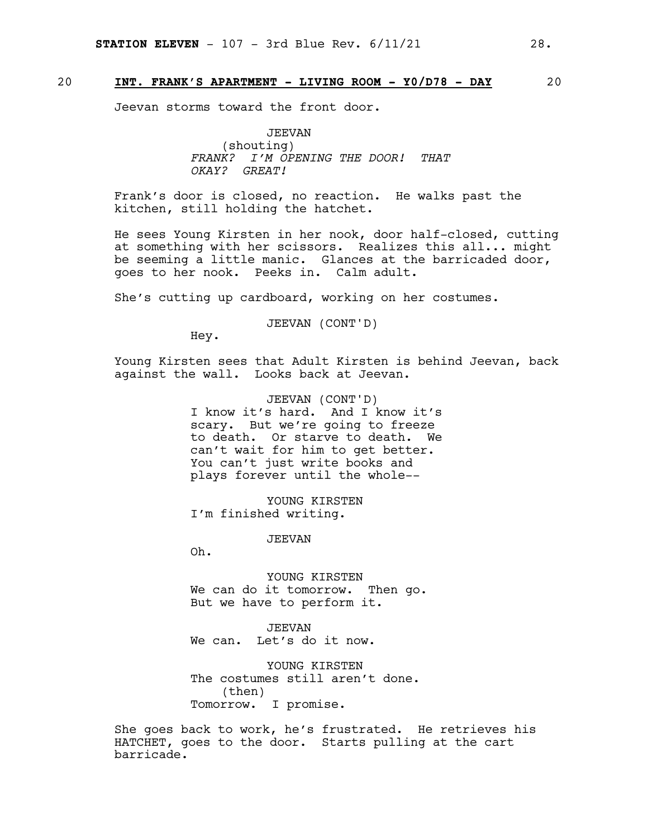### 20 **INT. FRANK'S APARTMENT - LIVING ROOM - Y0/D78 - DAY** 20

Jeevan storms toward the front door.

JEEVAN (shouting) *FRANK? I'M OPENING THE DOOR! THAT OKAY? GREAT!*

Frank's door is closed, no reaction. He walks past the kitchen, still holding the hatchet.

He sees Young Kirsten in her nook, door half-closed, cutting at something with her scissors. Realizes this all... might be seeming a little manic. Glances at the barricaded door, goes to her nook. Peeks in. Calm adult.

She's cutting up cardboard, working on her costumes.

JEEVAN (CONT'D)

Hey.

Young Kirsten sees that Adult Kirsten is behind Jeevan, back against the wall. Looks back at Jeevan.

> JEEVAN (CONT'D) I know it's hard. And I know it's scary. But we're going to freeze to death. Or starve to death. We can't wait for him to get better. You can't just write books and plays forever until the whole--

YOUNG KIRSTEN I'm finished writing.

JEEVAN

Oh.

YOUNG KIRSTEN We can do it tomorrow. Then go. But we have to perform it.

JEEVAN We can. Let's do it now.

YOUNG KIRSTEN The costumes still aren't done. (then) Tomorrow. I promise.

She goes back to work, he's frustrated. He retrieves his HATCHET, goes to the door. Starts pulling at the cart barricade.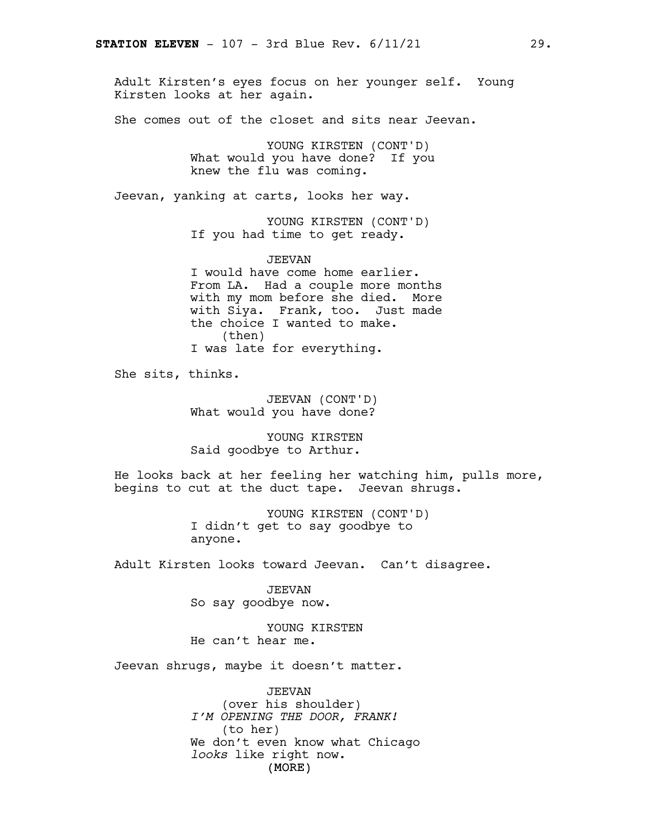Adult Kirsten's eyes focus on her younger self. Young Kirsten looks at her again.

She comes out of the closet and sits near Jeevan.

YOUNG KIRSTEN (CONT'D) What would you have done? If you knew the flu was coming.

Jeevan, yanking at carts, looks her way.

YOUNG KIRSTEN (CONT'D) If you had time to get ready.

JEEVAN

I would have come home earlier. From LA. Had a couple more months with my mom before she died. More with Siya. Frank, too. Just made the choice I wanted to make. (then) I was late for everything.

She sits, thinks.

JEEVAN (CONT'D) What would you have done?

YOUNG KIRSTEN Said goodbye to Arthur.

He looks back at her feeling her watching him, pulls more, begins to cut at the duct tape. Jeevan shrugs.

> YOUNG KIRSTEN (CONT'D) I didn't get to say goodbye to anyone.

Adult Kirsten looks toward Jeevan. Can't disagree.

JEEVAN So say goodbye now.

YOUNG KIRSTEN He can't hear me.

Jeevan shrugs, maybe it doesn't matter.

(MORE) JEEVAN (over his shoulder) *I'M OPENING THE DOOR, FRANK!* (to her) We don't even know what Chicago *looks* like right now.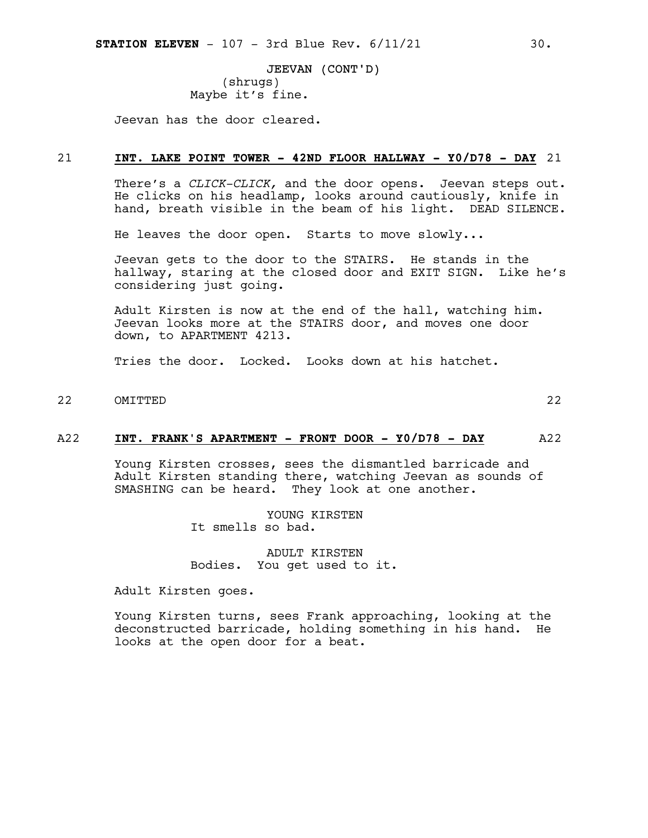JEEVAN (CONT'D) (shrugs) Maybe it's fine.

Jeevan has the door cleared.

### 21 **INT. LAKE POINT TOWER - 42ND FLOOR HALLWAY - Y0/D78 - DAY** 21

There's a *CLICK-CLICK,* and the door opens. Jeevan steps out. He clicks on his headlamp, looks around cautiously, knife in hand, breath visible in the beam of his light. DEAD SILENCE.

He leaves the door open. Starts to move slowly...

Jeevan gets to the door to the STAIRS. He stands in the hallway, staring at the closed door and EXIT SIGN. Like he's considering just going.

Adult Kirsten is now at the end of the hall, watching him. Jeevan looks more at the STAIRS door, and moves one door down, to APARTMENT 4213.

Tries the door. Locked. Looks down at his hatchet.

22 OMITTED 22

### A22 **INT. FRANK'S APARTMENT - FRONT DOOR - Y0/D78 - DAY** A22

Young Kirsten crosses, sees the dismantled barricade and Adult Kirsten standing there, watching Jeevan as sounds of SMASHING can be heard. They look at one another.

> YOUNG KIRSTEN It smells so bad.

ADULT KIRSTEN Bodies. You get used to it.

Adult Kirsten goes.

Young Kirsten turns, sees Frank approaching, looking at the deconstructed barricade, holding something in his hand. He looks at the open door for a beat.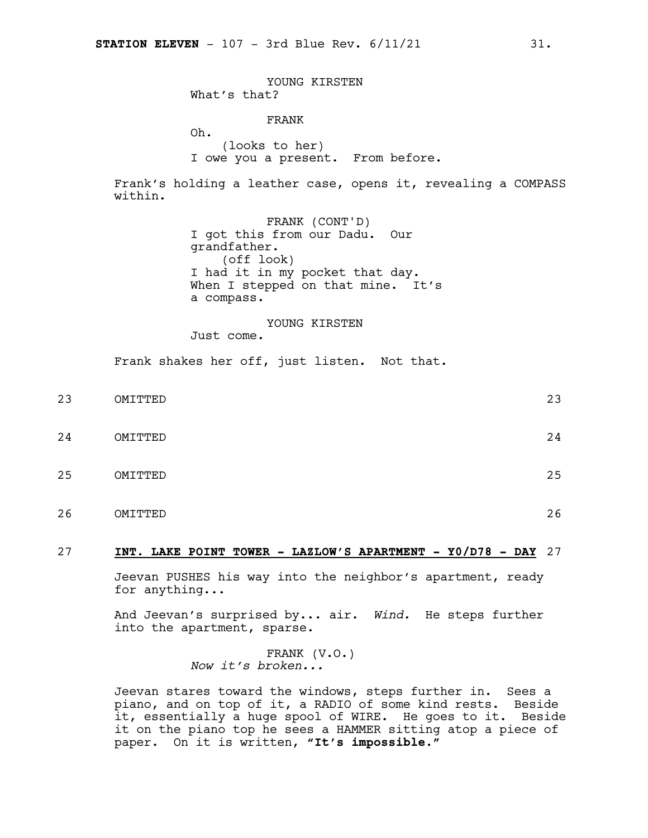YOUNG KIRSTEN What's that? FRANK Oh. (looks to her) I owe you a present. From before. Frank's holding a leather case, opens it, revealing a COMPASS within. FRANK (CONT'D) I got this from our Dadu. Our grandfather. (off look) I had it in my pocket that day. When I stepped on that mine. It's a compass. YOUNG KIRSTEN Just come. Frank shakes her off, just listen. Not that. 23 OMITTED 23 24 OMITTED 24

- 25 OMITTED 25
- 26 OMITTED 26

### 27 **INT. LAKE POINT TOWER - LAZLOW'S APARTMENT - Y0/D78 - DAY** 27

Jeevan PUSHES his way into the neighbor's apartment, ready for anything...

And Jeevan's surprised by... air. *Wind.* He steps further into the apartment, sparse.

> FRANK (V.O.) *Now it's broken...*

Jeevan stares toward the windows, steps further in. Sees a piano, and on top of it, a RADIO of some kind rests. Beside it, essentially a huge spool of WIRE. He goes to it. Beside it on the piano top he sees a HAMMER sitting atop a piece of paper. On it is written, **"It's impossible."**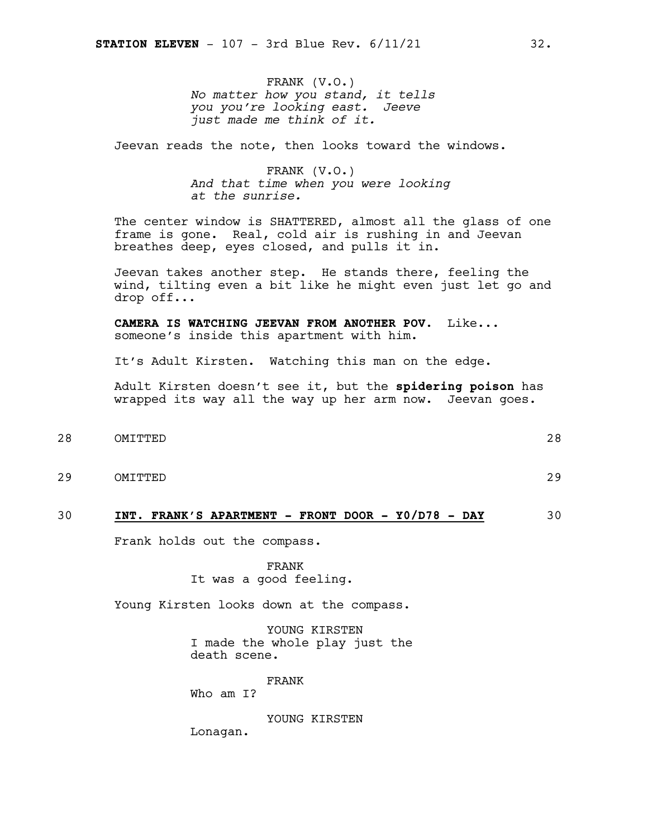FRANK (V.O.) *No matter how you stand, it tells you you're looking east. Jeeve just made me think of it.*

Jeevan reads the note, then looks toward the windows.

FRANK (V.O.) *And that time when you were looking at the sunrise.*

The center window is SHATTERED, almost all the glass of one frame is gone. Real, cold air is rushing in and Jeevan breathes deep, eyes closed, and pulls it in.

Jeevan takes another step. He stands there, feeling the wind, tilting even a bit like he might even just let go and drop off...

**CAMERA IS WATCHING JEEVAN FROM ANOTHER POV.** Like... someone's inside this apartment with him.

It's Adult Kirsten. Watching this man on the edge.

Adult Kirsten doesn't see it, but the **spidering poison** has wrapped its way all the way up her arm now. Jeevan goes.

- 28 OMITTED 28
- 

29 OMITTED 29

30 **INT. FRANK'S APARTMENT - FRONT DOOR - Y0/D78 - DAY** 30

Frank holds out the compass.

FRANK It was a good feeling.

Young Kirsten looks down at the compass.

YOUNG KIRSTEN I made the whole play just the death scene.

FRANK Who am I?

YOUNG KIRSTEN Lonagan.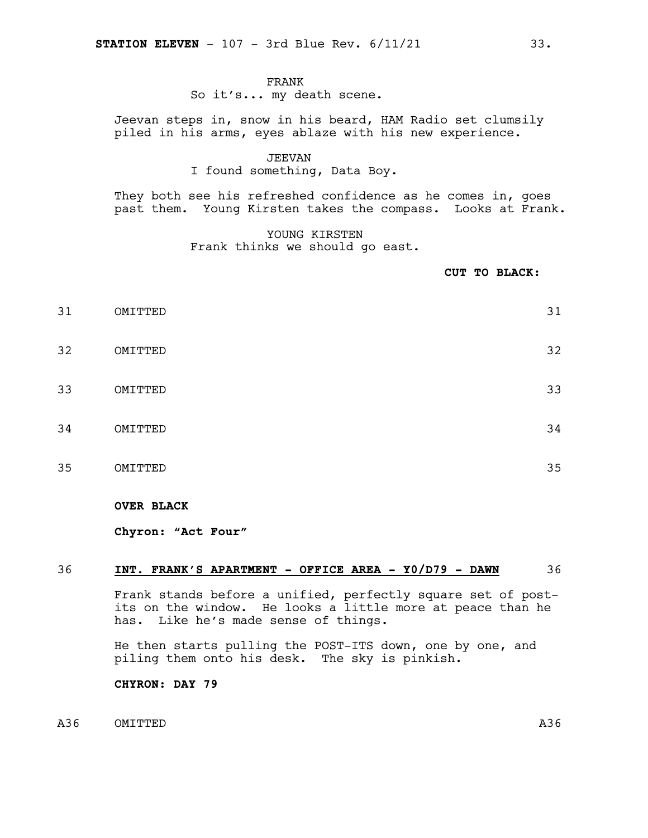### FRANK

### So it's... my death scene.

Jeevan steps in, snow in his beard, HAM Radio set clumsily piled in his arms, eyes ablaze with his new experience.

### JEEVAN

### I found something, Data Boy.

They both see his refreshed confidence as he comes in, goes past them. Young Kirsten takes the compass. Looks at Frank.

> YOUNG KIRSTEN Frank thinks we should go east.

> > **CUT TO BLACK:**

 OMITTED 31 OMITTED 32 OMITTED 33 OMITTED 34 OMITTED 35

### **OVER BLACK**

**Chyron: "Act Four"**

### 36 **INT. FRANK'S APARTMENT - OFFICE AREA - Y0/D79 - DAWN** 36

Frank stands before a unified, perfectly square set of postits on the window. He looks a little more at peace than he has. Like he's made sense of things.

He then starts pulling the POST-ITS down, one by one, and piling them onto his desk. The sky is pinkish.

**CHYRON: DAY 79**

### A36 OMITTED A36 A36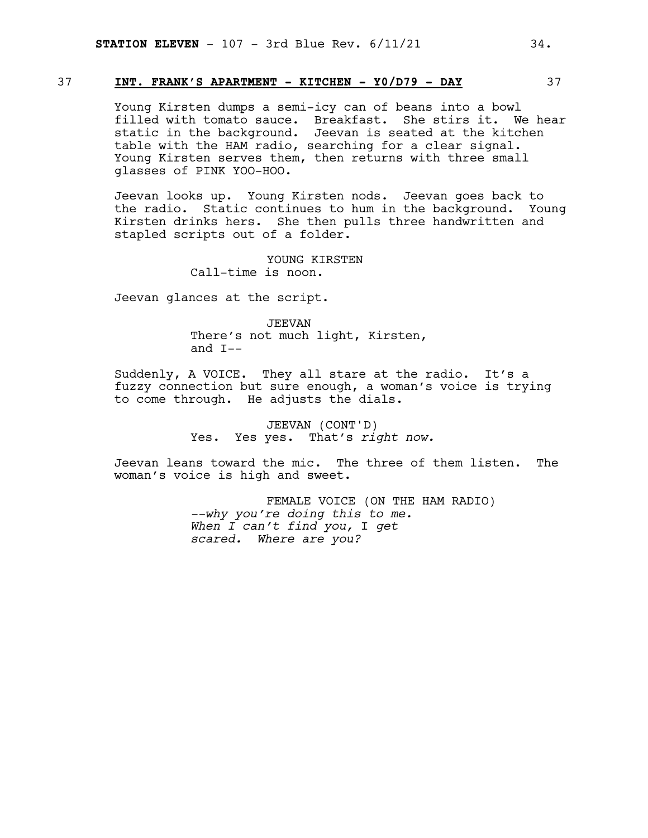### 37 **INT. FRANK'S APARTMENT - KITCHEN - Y0/D79 - DAY** 37

Young Kirsten dumps a semi-icy can of beans into a bowl filled with tomato sauce. Breakfast. She stirs it. We hear static in the background. Jeevan is seated at the kitchen table with the HAM radio, searching for a clear signal. Young Kirsten serves them, then returns with three small glasses of PINK YOO-HOO.

Jeevan looks up. Young Kirsten nods. Jeevan goes back to the radio. Static continues to hum in the background. Young Kirsten drinks hers. She then pulls three handwritten and stapled scripts out of a folder.

> YOUNG KIRSTEN Call-time is noon.

Jeevan glances at the script.

JEEVAN There's not much light, Kirsten, and I--

Suddenly, A VOICE. They all stare at the radio. It's a fuzzy connection but sure enough, a woman's voice is trying to come through. He adjusts the dials.

> JEEVAN (CONT'D) Yes. Yes yes. That's *right now.*

Jeevan leans toward the mic. The three of them listen. The woman's voice is high and sweet.

> FEMALE VOICE (ON THE HAM RADIO) *--why you're doing this to me. When I can't find you,* I *get scared. Where are you?*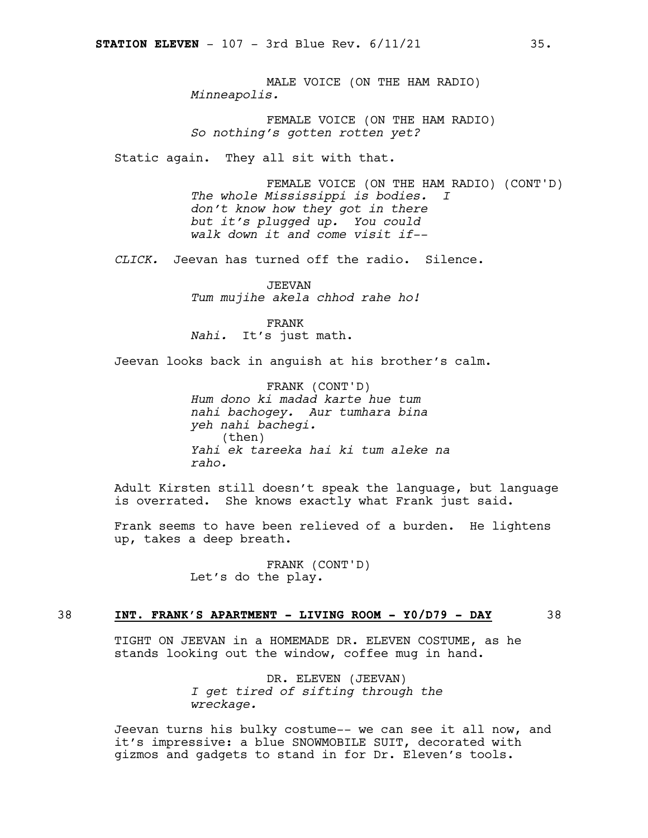MALE VOICE (ON THE HAM RADIO) *Minneapolis.*

FEMALE VOICE (ON THE HAM RADIO) *So nothing's gotten rotten yet?*

Static again. They all sit with that.

FEMALE VOICE (ON THE HAM RADIO) (CONT'D) *The whole Mississippi is bodies. I don't know how they got in there but it's plugged up. You could walk down it and come visit if--*

*CLICK.* Jeevan has turned off the radio. Silence.

JEEVAN *Tum mujihe akela chhod rahe ho!*

FRANK

*Nahi.* It's just math.

Jeevan looks back in anguish at his brother's calm.

FRANK (CONT'D) *Hum dono ki madad karte hue tum nahi bachogey. Aur tumhara bina yeh nahi bachegi.* (then) *Yahi ek tareeka hai ki tum aleke na raho.*

Adult Kirsten still doesn't speak the language, but language is overrated. She knows exactly what Frank just said.

Frank seems to have been relieved of a burden. He lightens up, takes a deep breath.

> FRANK (CONT'D) Let's do the play.

### 38 **INT. FRANK'S APARTMENT - LIVING ROOM - Y0/D79 - DAY** 38

TIGHT ON JEEVAN in a HOMEMADE DR. ELEVEN COSTUME, as he stands looking out the window, coffee mug in hand.

> DR. ELEVEN (JEEVAN) *I get tired of sifting through the wreckage.*

Jeevan turns his bulky costume-- we can see it all now, and it's impressive: a blue SNOWMOBILE SUIT, decorated with gizmos and gadgets to stand in for Dr. Eleven's tools.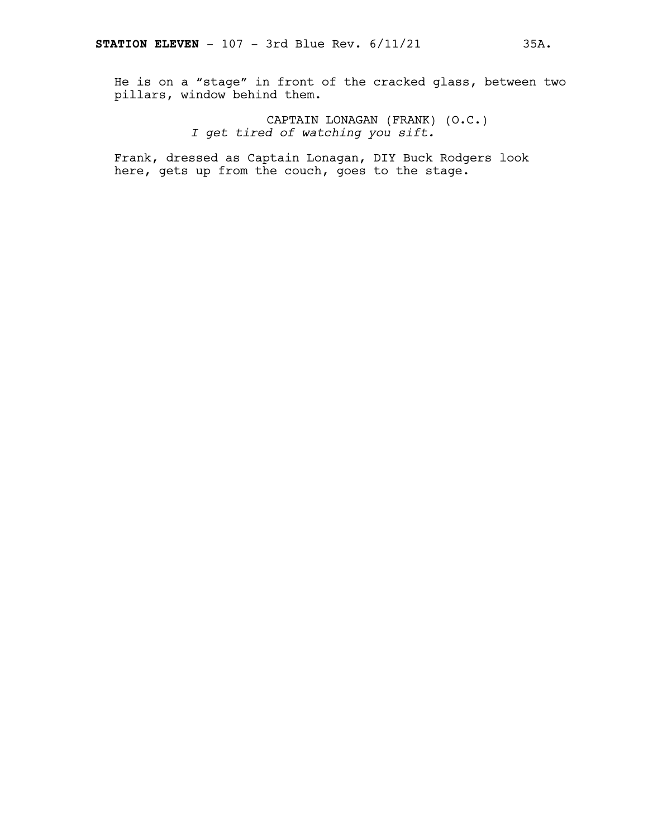He is on a "stage" in front of the cracked glass, between two pillars, window behind them.

> CAPTAIN LONAGAN (FRANK) (O.C.) *I get tired of watching you sift.*

Frank, dressed as Captain Lonagan, DIY Buck Rodgers look here, gets up from the couch, goes to the stage.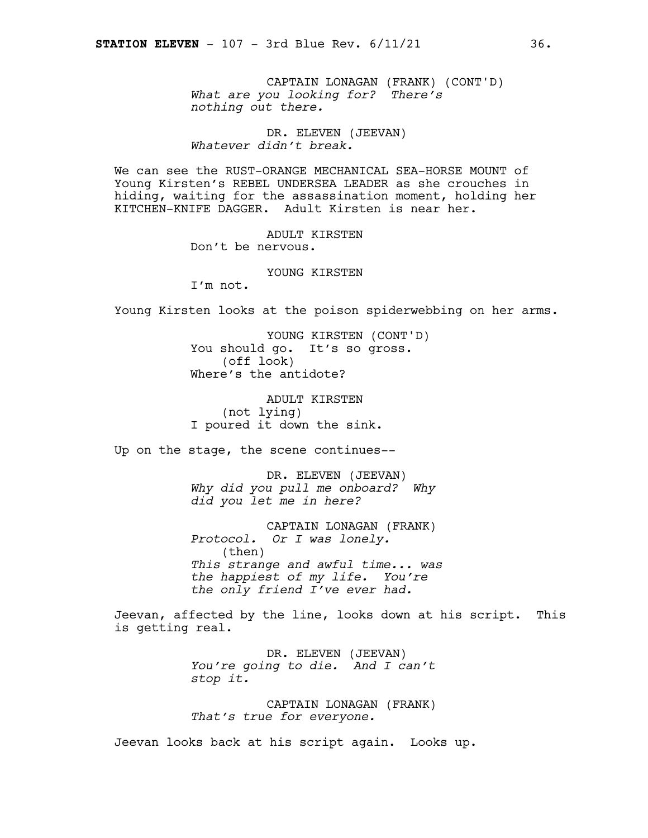CAPTAIN LONAGAN (FRANK) (CONT'D) *What are you looking for? There's nothing out there.*

DR. ELEVEN (JEEVAN) *Whatever didn't break.*

We can see the RUST-ORANGE MECHANICAL SEA-HORSE MOUNT of Young Kirsten's REBEL UNDERSEA LEADER as she crouches in hiding, waiting for the assassination moment, holding her KITCHEN-KNIFE DAGGER. Adult Kirsten is near her.

> ADULT KIRSTEN Don't be nervous.

> > YOUNG KIRSTEN

I'm not.

Young Kirsten looks at the poison spiderwebbing on her arms.

YOUNG KIRSTEN (CONT'D) You should go. It's so gross. (off look) Where's the antidote?

ADULT KIRSTEN (not lying) I poured it down the sink.

Up on the stage, the scene continues--

DR. ELEVEN (JEEVAN) *Why did you pull me onboard? Why did you let me in here?*

CAPTAIN LONAGAN (FRANK) *Protocol. Or I was lonely.* (then) *This strange and awful time... was the happiest of my life. You're the only friend I've ever had.*

Jeevan, affected by the line, looks down at his script. This is getting real.

> DR. ELEVEN (JEEVAN) *You're going to die. And I can't stop it.*

> CAPTAIN LONAGAN (FRANK) *That's true for everyone.*

Jeevan looks back at his script again. Looks up.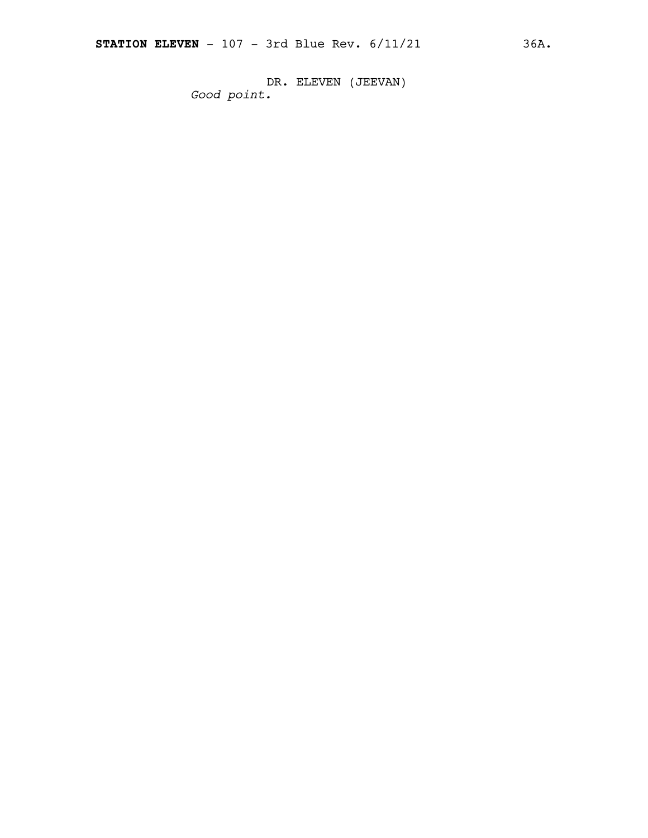DR. ELEVEN (JEEVAN) *Good point.*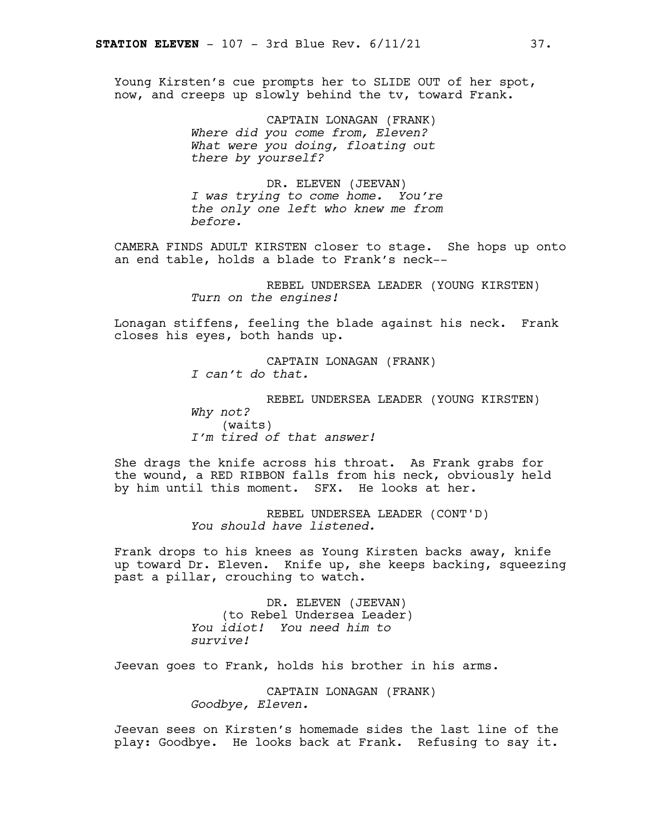Young Kirsten's cue prompts her to SLIDE OUT of her spot, now, and creeps up slowly behind the tv, toward Frank.

> CAPTAIN LONAGAN (FRANK) *Where did you come from, Eleven? What were you doing, floating out there by yourself?*

DR. ELEVEN (JEEVAN) *I was trying to come home. You're the only one left who knew me from before.*

CAMERA FINDS ADULT KIRSTEN closer to stage. She hops up onto an end table, holds a blade to Frank's neck--

> REBEL UNDERSEA LEADER (YOUNG KIRSTEN) *Turn on the engines!*

Lonagan stiffens, feeling the blade against his neck. Frank closes his eyes, both hands up.

> CAPTAIN LONAGAN (FRANK) *I can't do that.*

REBEL UNDERSEA LEADER (YOUNG KIRSTEN) *Why not?* (waits) *I'm tired of that answer!*

She drags the knife across his throat. As Frank grabs for the wound, a RED RIBBON falls from his neck, obviously held by him until this moment. SFX. He looks at her.

> REBEL UNDERSEA LEADER (CONT'D) *You should have listened.*

Frank drops to his knees as Young Kirsten backs away, knife up toward Dr. Eleven. Knife up, she keeps backing, squeezing past a pillar, crouching to watch.

> DR. ELEVEN (JEEVAN) (to Rebel Undersea Leader) *You idiot! You need him to survive!*

Jeevan goes to Frank, holds his brother in his arms.

CAPTAIN LONAGAN (FRANK) *Goodbye, Eleven.*

Jeevan sees on Kirsten's homemade sides the last line of the play: Goodbye. He looks back at Frank. Refusing to say it.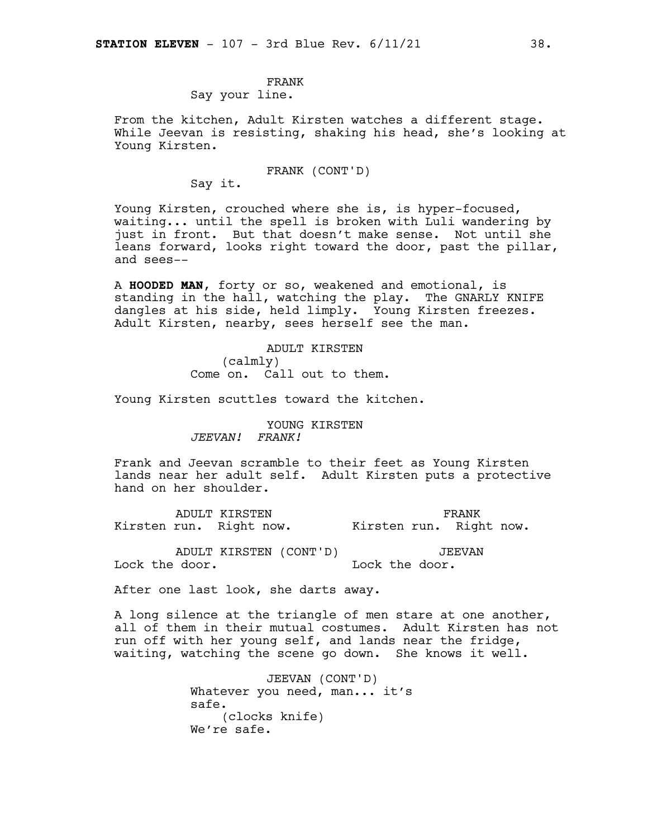### FRANK

### Say your line.

From the kitchen, Adult Kirsten watches a different stage. While Jeevan is resisting, shaking his head, she's looking at Young Kirsten.

FRANK (CONT'D)

Say it.

Young Kirsten, crouched where she is, is hyper-focused, waiting... until the spell is broken with Luli wandering by just in front. But that doesn't make sense. Not until she leans forward, looks right toward the door, past the pillar, and sees--

A **HOODED MAN**, forty or so, weakened and emotional, is standing in the hall, watching the play. The GNARLY KNIFE dangles at his side, held limply. Young Kirsten freezes. Adult Kirsten, nearby, sees herself see the man.

> ADULT KIRSTEN (calmly) Come on. Call out to them.

Young Kirsten scuttles toward the kitchen.

YOUNG KIRSTEN *JEEVAN! FRANK!*

Frank and Jeevan scramble to their feet as Young Kirsten lands near her adult self. Adult Kirsten puts a protective hand on her shoulder.

ADULT KIRSTEN Kirsten run. Right now. FRANK Kirsten run. Right now.

ADULT KIRSTEN (CONT'D) Lock the door. JEEVAN Lock the door.

After one last look, she darts away.

A long silence at the triangle of men stare at one another, all of them in their mutual costumes. Adult Kirsten has not run off with her young self, and lands near the fridge, waiting, watching the scene go down. She knows it well.

> JEEVAN (CONT'D) Whatever you need, man... it's safe. (clocks knife) We're safe.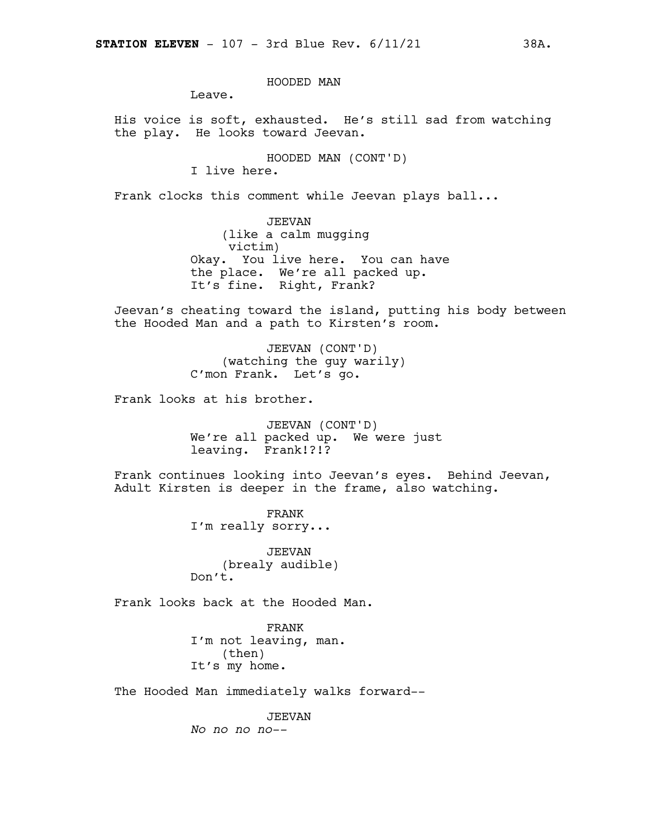HOODED MAN

Leave.

His voice is soft, exhausted. He's still sad from watching the play. He looks toward Jeevan.

HOODED MAN (CONT'D)

I live here.

Frank clocks this comment while Jeevan plays ball...

JEEVAN (like a calm mugging victim) Okay. You live here. You can have the place. We're all packed up. It's fine. Right, Frank?

Jeevan's cheating toward the island, putting his body between the Hooded Man and a path to Kirsten's room.

> JEEVAN (CONT'D) (watching the guy warily) C'mon Frank. Let's go.

Frank looks at his brother.

JEEVAN (CONT'D) We're all packed up. We were just leaving. Frank!?!?

Frank continues looking into Jeevan's eyes. Behind Jeevan, Adult Kirsten is deeper in the frame, also watching.

> FRANK I'm really sorry...

JEEVAN (brealy audible) Don't.

Frank looks back at the Hooded Man.

FRANK I'm not leaving, man. (then) It's my home.

The Hooded Man immediately walks forward--

JEEVAN *No no no no--*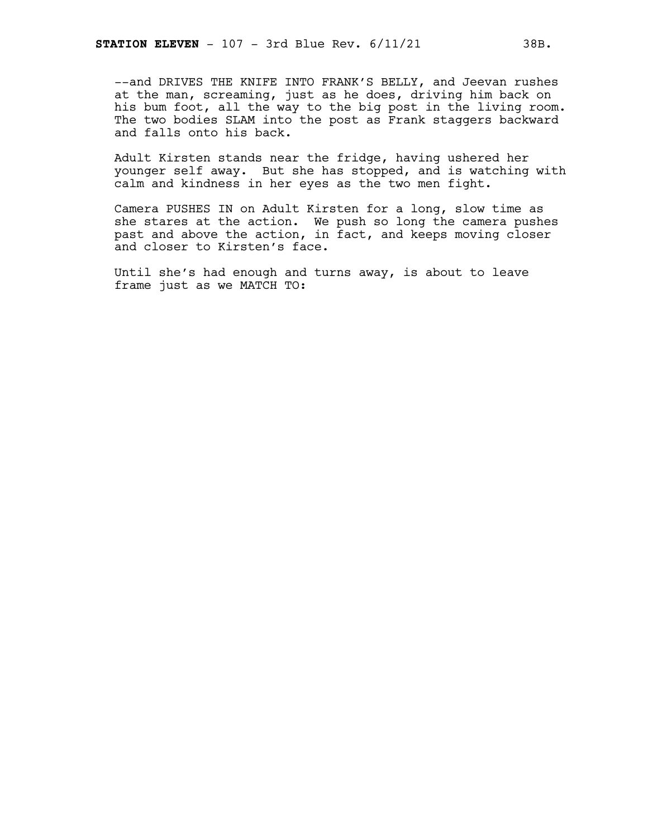--and DRIVES THE KNIFE INTO FRANK'S BELLY, and Jeevan rushes at the man, screaming, just as he does, driving him back on his bum foot, all the way to the big post in the living room. The two bodies SLAM into the post as Frank staggers backward and falls onto his back.

Adult Kirsten stands near the fridge, having ushered her younger self away. But she has stopped, and is watching with calm and kindness in her eyes as the two men fight.

Camera PUSHES IN on Adult Kirsten for a long, slow time as she stares at the action. We push so long the camera pushes past and above the action, in fact, and keeps moving closer and closer to Kirsten's face.

Until she's had enough and turns away, is about to leave frame just as we MATCH TO: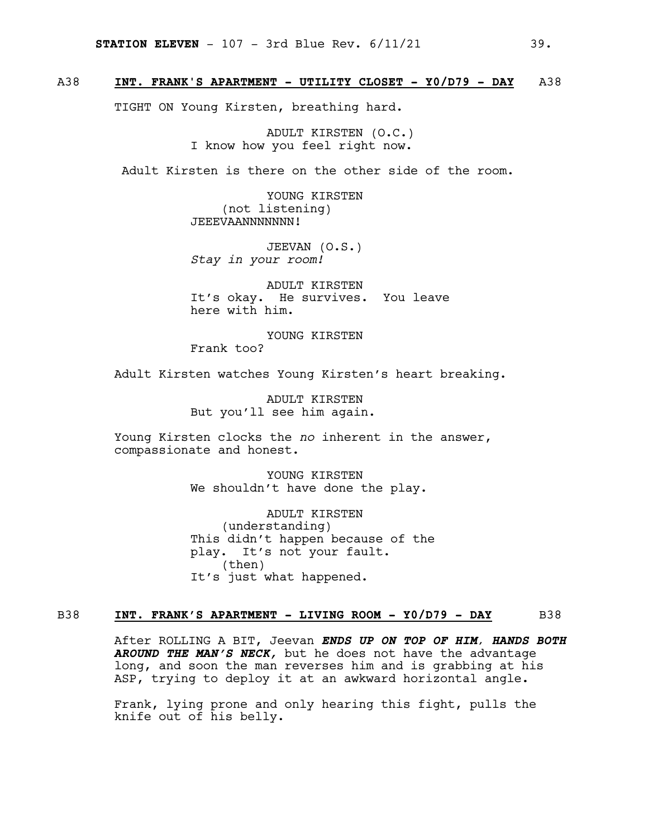### A38 **INT. FRANK'S APARTMENT - UTILITY CLOSET - Y0/D79 - DAY** A38

TIGHT ON Young Kirsten, breathing hard.

ADULT KIRSTEN (O.C.) I know how you feel right now.

Adult Kirsten is there on the other side of the room.

YOUNG KIRSTEN (not listening) JEEEVAANNNNNNN!

JEEVAN (O.S.) *Stay in your room!*

ADULT KIRSTEN It's okay. He survives. You leave here with him.

YOUNG KIRSTEN Frank too?

Adult Kirsten watches Young Kirsten's heart breaking.

ADULT KIRSTEN But you'll see him again.

Young Kirsten clocks the *no* inherent in the answer, compassionate and honest.

> YOUNG KIRSTEN We shouldn't have done the play.

ADULT KIRSTEN (understanding) This didn't happen because of the play. It's not your fault. (then) It's just what happened.

### B38 **INT. FRANK'S APARTMENT - LIVING ROOM - Y0/D79 - DAY** B38

After ROLLING A BIT, Jeevan *ENDS UP ON TOP OF HIM, HANDS BOTH AROUND THE MAN'S NECK,* but he does not have the advantage long, and soon the man reverses him and is grabbing at his ASP, trying to deploy it at an awkward horizontal angle*.*

Frank, lying prone and only hearing this fight, pulls the knife out of his belly.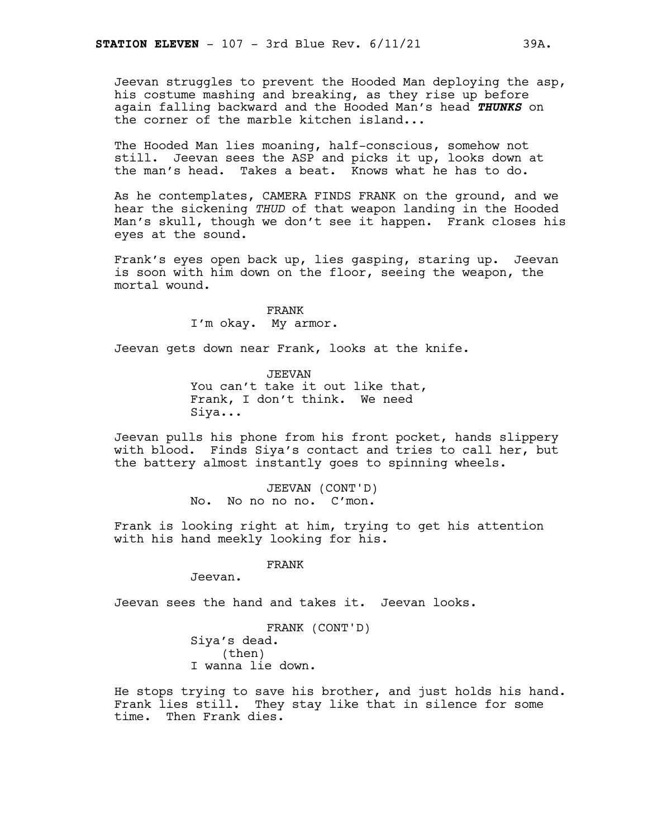Jeevan struggles to prevent the Hooded Man deploying the asp, his costume mashing and breaking, as they rise up before again falling backward and the Hooded Man's head *THUNKS* on the corner of the marble kitchen island...

The Hooded Man lies moaning, half-conscious, somehow not still. Jeevan sees the ASP and picks it up, looks down at the man's head. Takes a beat. Knows what he has to do.

As he contemplates, CAMERA FINDS FRANK on the ground, and we hear the sickening *THUD* of that weapon landing in the Hooded Man's skull, though we don't see it happen. Frank closes his eyes at the sound.

Frank's eyes open back up, lies gasping, staring up. Jeevan is soon with him down on the floor, seeing the weapon, the mortal wound.

> FRANK I'm okay. My armor.

Jeevan gets down near Frank, looks at the knife.

JEEVAN You can't take it out like that, Frank, I don't think. We need Siya...

Jeevan pulls his phone from his front pocket, hands slippery with blood. Finds Siya's contact and tries to call her, but the battery almost instantly goes to spinning wheels.

> JEEVAN (CONT'D) No. No no no no. C'mon.

Frank is looking right at him, trying to get his attention with his hand meekly looking for his.

FRANK

Jeevan.

Jeevan sees the hand and takes it. Jeevan looks.

FRANK (CONT'D) Siya's dead. (then) I wanna lie down.

He stops trying to save his brother, and just holds his hand. Frank lies still. They stay like that in silence for some time. Then Frank dies.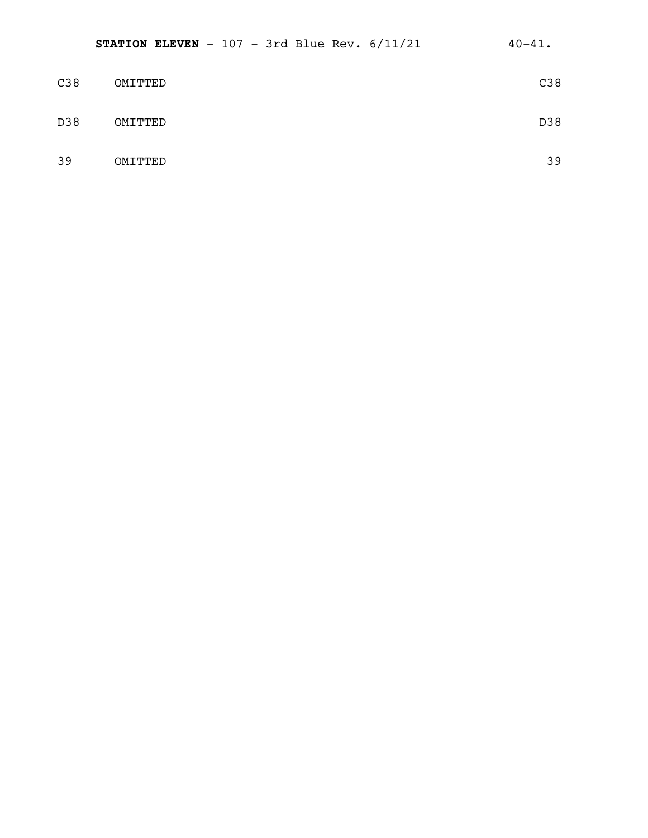| C38 | OMITTED | C38 |
|-----|---------|-----|
| D38 | OMITTED | D38 |
| 39  | OMITTED | 39  |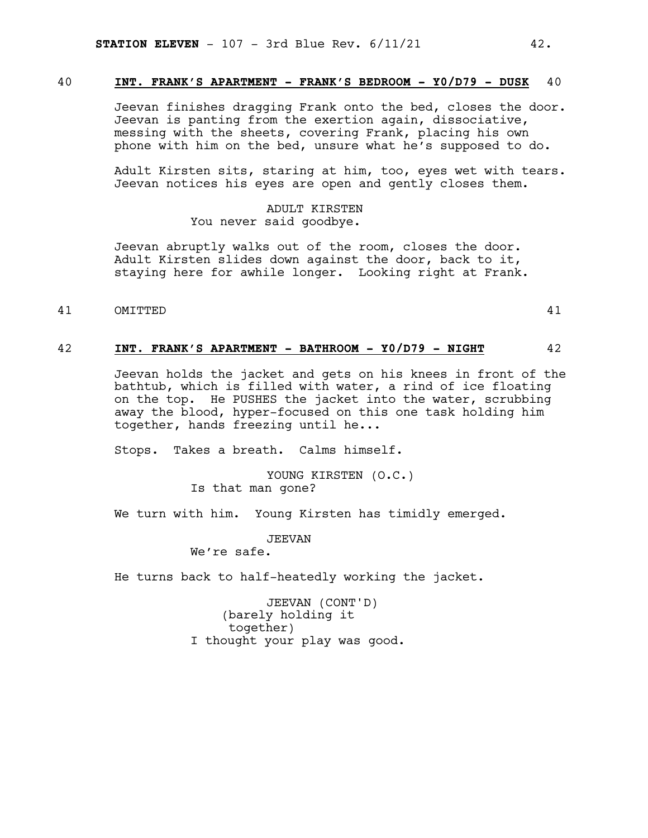### 40 **INT. FRANK'S APARTMENT - FRANK'S BEDROOM - Y0/D79 - DUSK** 40

Jeevan finishes dragging Frank onto the bed, closes the door. Jeevan is panting from the exertion again, dissociative, messing with the sheets, covering Frank, placing his own phone with him on the bed, unsure what he's supposed to do.

Adult Kirsten sits, staring at him, too, eyes wet with tears. Jeevan notices his eyes are open and gently closes them.

> ADULT KIRSTEN You never said goodbye.

Jeevan abruptly walks out of the room, closes the door. Adult Kirsten slides down against the door, back to it, staying here for awhile longer. Looking right at Frank.

41 OMITTED 41

### 42 **INT. FRANK'S APARTMENT - BATHROOM - Y0/D79 - NIGHT** 42

Jeevan holds the jacket and gets on his knees in front of the bathtub, which is filled with water, a rind of ice floating on the top. He PUSHES the jacket into the water, scrubbing away the blood, hyper-focused on this one task holding him together, hands freezing until he...

Stops. Takes a breath. Calms himself.

YOUNG KIRSTEN (O.C.) Is that man gone?

We turn with him. Young Kirsten has timidly emerged.

JEEVAN

We're safe.

He turns back to half-heatedly working the jacket.

JEEVAN (CONT'D) (barely holding it together) I thought your play was good.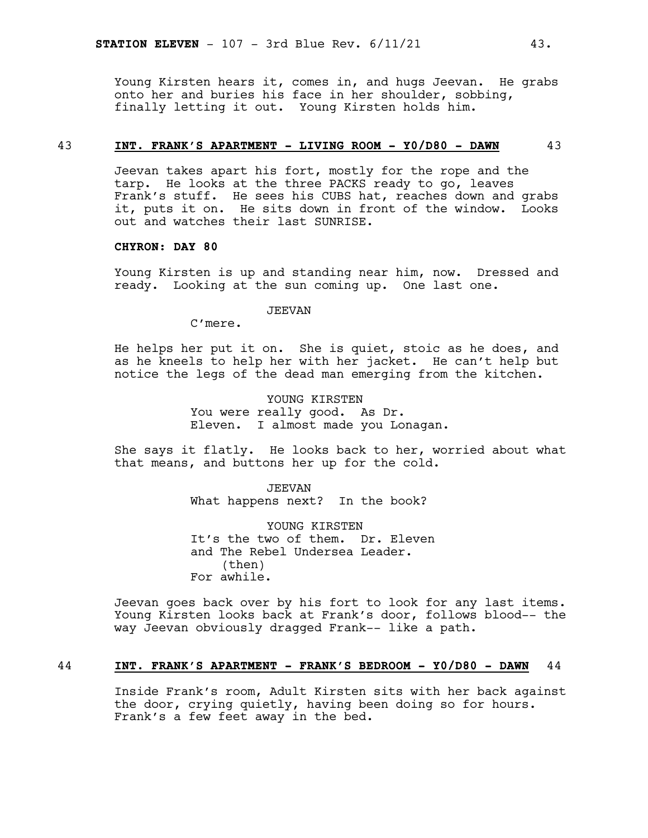Young Kirsten hears it, comes in, and hugs Jeevan. He grabs onto her and buries his face in her shoulder, sobbing, finally letting it out. Young Kirsten holds him.

### 43 **INT. FRANK'S APARTMENT - LIVING ROOM - Y0/D80 - DAWN** 43

Jeevan takes apart his fort, mostly for the rope and the tarp. He looks at the three PACKS ready to go, leaves Frank's stuff. He sees his CUBS hat, reaches down and grabs it, puts it on. He sits down in front of the window. Looks out and watches their last SUNRISE.

### **CHYRON: DAY 80**

Young Kirsten is up and standing near him, now. Dressed and ready. Looking at the sun coming up. One last one.

### JEEVAN

C'mere.

He helps her put it on. She is quiet, stoic as he does, and as he kneels to help her with her jacket. He can't help but notice the legs of the dead man emerging from the kitchen.

> YOUNG KIRSTEN You were really good. As Dr. Eleven. I almost made you Lonagan.

She says it flatly. He looks back to her, worried about what that means, and buttons her up for the cold.

> JEEVAN What happens next? In the book?

YOUNG KIRSTEN It's the two of them. Dr. Eleven and The Rebel Undersea Leader. (then) For awhile.

Jeevan goes back over by his fort to look for any last items. Young Kirsten looks back at Frank's door, follows blood-- the way Jeevan obviously dragged Frank-- like a path.

### 44 **INT. FRANK'S APARTMENT - FRANK'S BEDROOM - Y0/D80 - DAWN** 44

Inside Frank's room, Adult Kirsten sits with her back against the door, crying quietly, having been doing so for hours. Frank's a few feet away in the bed.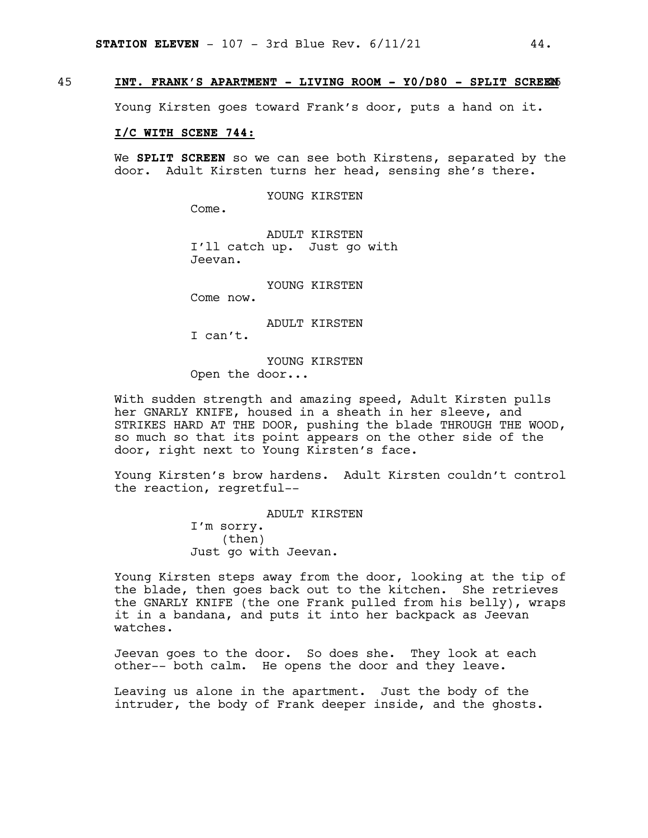### 45 **INT. FRANK'S APARTMENT - LIVING ROOM - Y0/D80 - SPLIT SCREE**45**N**

Young Kirsten goes toward Frank's door, puts a hand on it.

### **I/C WITH SCENE 744:**

We **SPLIT SCREEN** so we can see both Kirstens, separated by the door. Adult Kirsten turns her head, sensing she's there.

YOUNG KIRSTEN

Come.

ADULT KIRSTEN I'll catch up. Just go with Jeevan.

YOUNG KIRSTEN

Come now.

ADULT KIRSTEN

I can't.

YOUNG KIRSTEN Open the door...

With sudden strength and amazing speed, Adult Kirsten pulls her GNARLY KNIFE, housed in a sheath in her sleeve, and STRIKES HARD AT THE DOOR, pushing the blade THROUGH THE WOOD, so much so that its point appears on the other side of the door, right next to Young Kirsten's face.

Young Kirsten's brow hardens. Adult Kirsten couldn't control the reaction, regretful--

> ADULT KIRSTEN I'm sorry. (then) Just go with Jeevan.

Young Kirsten steps away from the door, looking at the tip of the blade, then goes back out to the kitchen. She retrieves the GNARLY KNIFE (the one Frank pulled from his belly), wraps it in a bandana, and puts it into her backpack as Jeevan watches.

Jeevan goes to the door. So does she. They look at each other-- both calm. He opens the door and they leave.

Leaving us alone in the apartment. Just the body of the intruder, the body of Frank deeper inside, and the ghosts.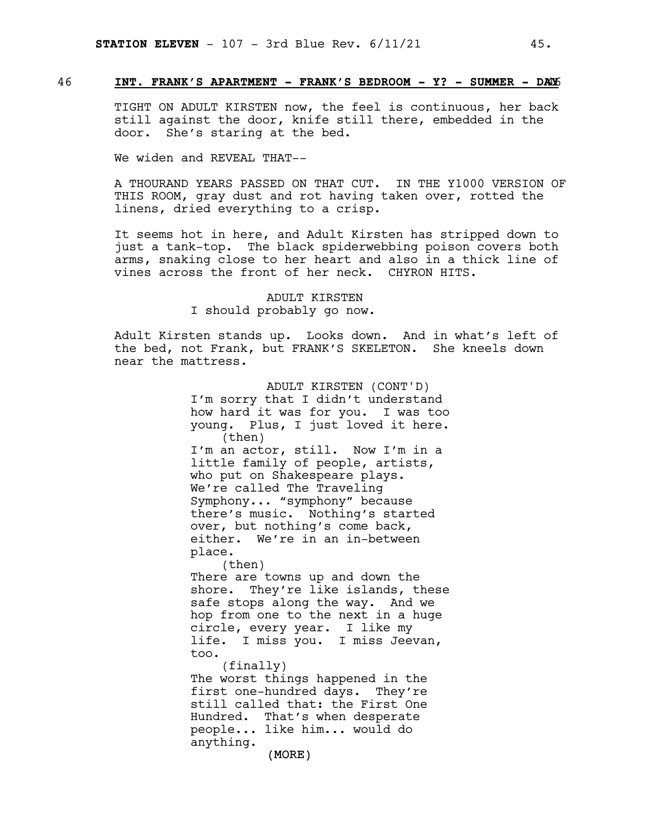### 46 **INT. FRANK'S APARTMENT - FRANK'S BEDROOM - Y? - SUMMER - DA**46**Y**

TIGHT ON ADULT KIRSTEN now, the feel is continuous, her back still against the door, knife still there, embedded in the door. She's staring at the bed.

We widen and REVEAL THAT--

A THOURAND YEARS PASSED ON THAT CUT. IN THE Y1000 VERSION OF THIS ROOM, gray dust and rot having taken over, rotted the linens, dried everything to a crisp.

It seems hot in here, and Adult Kirsten has stripped down to just a tank-top. The black spiderwebbing poison covers both arms, snaking close to her heart and also in a thick line of vines across the front of her neck. CHYRON HITS.

> ADULT KIRSTEN I should probably go now.

Adult Kirsten stands up. Looks down. And in what's left of the bed, not Frank, but FRANK'S SKELETON. She kneels down near the mattress.

> ADULT KIRSTEN (CONT'D) I'm sorry that I didn't understand how hard it was for you. I was too young. Plus, I just loved it here. (then) I'm an actor, still. Now I'm in a little family of people, artists, who put on Shakespeare plays. We're called The Traveling Symphony... "symphony" because there's music. Nothing's started over, but nothing's come back, either. We're in an in-between place. (then) There are towns up and down the shore. They're like islands, these safe stops along the way. And we hop from one to the next in a huge circle, every year. I like my life. I miss you. I miss Jeevan, too. (finally) The worst things happened in the first one-hundred days. They're still called that: the First One Hundred. That's when desperate people... like him... would do anything.

> > (MORE)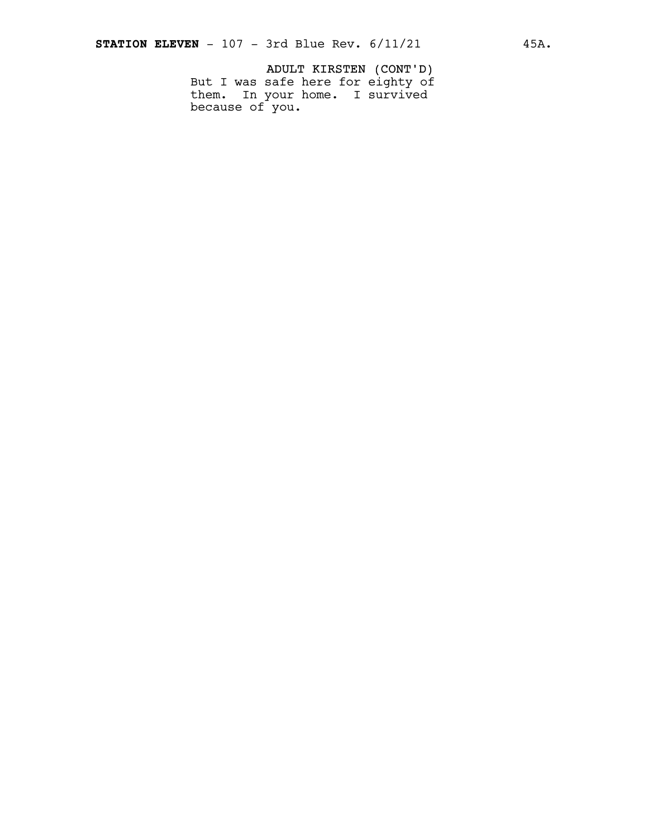ADULT KIRSTEN (CONT'D) But I was safe here for eighty of them. In your home. I survived because of you.